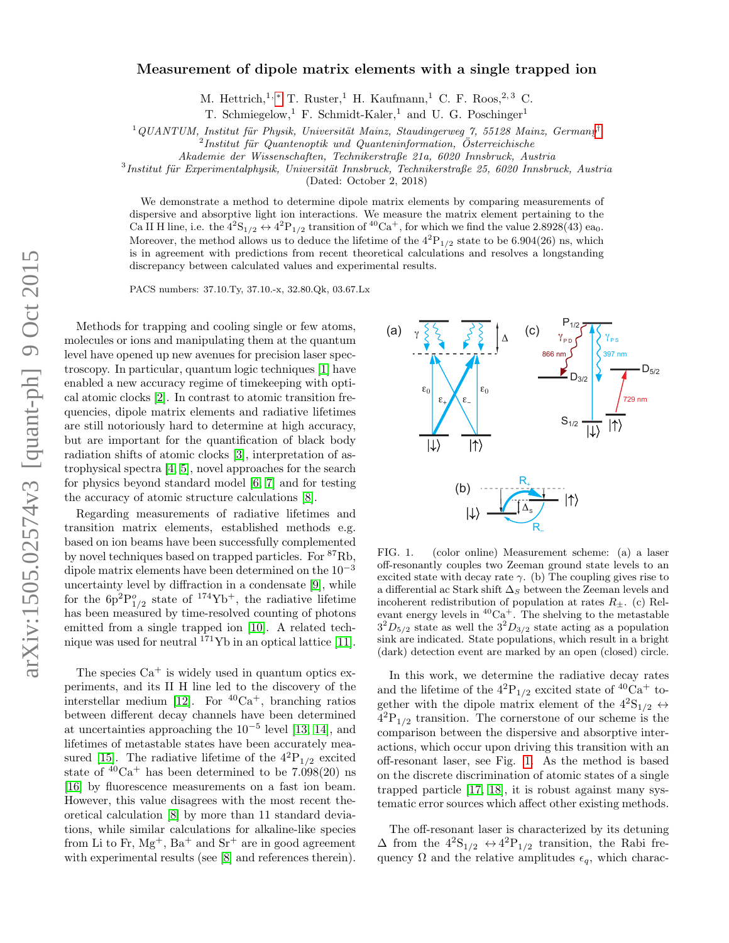#### Measurement of dipole matrix elements with a single trapped ion

M. Hettrich,<sup>1,\*</sup> T. Ruster,<sup>1</sup> H. Kaufmann,<sup>1</sup> C. F. Roos,<sup>2,3</sup> C.

T. Schmiegelow,<sup>1</sup> F. Schmidt-Kaler,<sup>1</sup> and U. G. Poschinger<sup>1</sup>

 $1$ QUANTUM, Institut für Physik, Universität Mainz, Staudingerweg 7, 55128 Mainz, Germany<sup>[†](#page-4-1)</sup>

 ${}^{2}$ Institut für Quantenoptik und Quanteninformation, Österreichische

Akademie der Wissenschaften, Technikerstraße 21a, 6020 Innsbruck, Austria

 ${}^{3}$ Institut für Experimentalphysik, Universität Innsbruck, Technikerstraße 25, 6020 Innsbruck, Austria

(Dated: October 2, 2018)

We demonstrate a method to determine dipole matrix elements by comparing measurements of dispersive and absorptive light ion interactions. We measure the matrix element pertaining to the Ca II H line, i.e. the  $4^{2}S_{1/2} \leftrightarrow 4^{2}P_{1/2}$  transition of  ${}^{40}Ca^{+}$ , for which we find the value 2.8928(43) ea<sub>0</sub>. Moreover, the method allows us to deduce the lifetime of the  $4^{2}P_{1/2}$  state to be 6.904(26) ns, which is in agreement with predictions from recent theoretical calculations and resolves a longstanding discrepancy between calculated values and experimental results.

PACS numbers: 37.10.Ty, 37.10.-x, 32.80.Qk, 03.67.Lx

Methods for trapping and cooling single or few atoms, molecules or ions and manipulating them at the quantum level have opened up new avenues for precision laser spectroscopy. In particular, quantum logic techniques [\[1\]](#page-4-2) have enabled a new accuracy regime of timekeeping with optical atomic clocks [\[2\]](#page-4-3). In contrast to atomic transition frequencies, dipole matrix elements and radiative lifetimes are still notoriously hard to determine at high accuracy, but are important for the quantification of black body radiation shifts of atomic clocks [\[3\]](#page-4-4), interpretation of astrophysical spectra [\[4,](#page-4-5) [5\]](#page-4-6), novel approaches for the search for physics beyond standard model [\[6,](#page-4-7) [7\]](#page-4-8) and for testing the accuracy of atomic structure calculations [\[8\]](#page-4-9).

Regarding measurements of radiative lifetimes and transition matrix elements, established methods e.g. based on ion beams have been successfully complemented by novel techniques based on trapped particles. For <sup>87</sup>Rb, dipole matrix elements have been determined on the  $10^{-3}$ uncertainty level by diffraction in a condensate [\[9\]](#page-4-10), while for the  $6p^2P_{1/2}^o$  state of  $174\text{Yb}^+$ , the radiative lifetime has been measured by time-resolved counting of photons emitted from a single trapped ion [\[10\]](#page-4-11). A related technique was used for neutral  $171\text{Yb}$  in an optical lattice [\[11\]](#page-4-12).

The species  $Ca^+$  is widely used in quantum optics experiments, and its II H line led to the discovery of the interstellar medium [\[12\]](#page-4-13). For  ${}^{40}Ca<sup>+</sup>$ , branching ratios between different decay channels have been determined at uncertainties approaching the  $10^{-5}$  level [\[13,](#page-4-14) [14\]](#page-4-15), and lifetimes of metastable states have been accurately mea-sured [\[15\]](#page-4-16). The radiative lifetime of the  $4^{2}P_{1/2}$  excited state of  $40Ca<sup>+</sup>$  has been determined to be 7.098(20) ns [\[16\]](#page-4-17) by fluorescence measurements on a fast ion beam. However, this value disagrees with the most recent theoretical calculation [\[8\]](#page-4-9) by more than 11 standard deviations, while similar calculations for alkaline-like species from Li to Fr,  $Mg^+$ , Ba<sup>+</sup> and Sr<sup>+</sup> are in good agreement with experimental results (see [\[8\]](#page-4-9) and references therein).



<span id="page-0-0"></span>FIG. 1. (color online) Measurement scheme: (a) a laser off-resonantly couples two Zeeman ground state levels to an excited state with decay rate  $\gamma$ . (b) The coupling gives rise to a differential ac Stark shift  $\Delta_S$  between the Zeeman levels and incoherent redistribution of population at rates  $R_{\pm}$ . (c) Relevant energy levels in  ${}^{40}Ca<sup>+</sup>$ . The shelving to the metastable  $3^{2}D_{5/2}$  state as well the  $3^{2}D_{3/2}$  state acting as a population sink are indicated. State populations, which result in a bright (dark) detection event are marked by an open (closed) circle.

In this work, we determine the radiative decay rates and the lifetime of the  $4^{2}P_{1/2}$  excited state of  $4^{10}Ca^{+}$  together with the dipole matrix element of the  $4^{2}S_{1/2} \leftrightarrow$  $4^{2}P_{1/2}$  transition. The cornerstone of our scheme is the comparison between the dispersive and absorptive interactions, which occur upon driving this transition with an off-resonant laser, see Fig. [1.](#page-0-0) As the method is based on the discrete discrimination of atomic states of a single trapped particle [\[17,](#page-4-18) [18\]](#page-4-19), it is robust against many systematic error sources which affect other existing methods.

The off-resonant laser is characterized by its detuning  $\Delta$  from the  $4^{2}S_{1/2} \leftrightarrow 4^{2}P_{1/2}$  transition, the Rabi frequency  $\Omega$  and the relative amplitudes  $\epsilon_q$ , which charac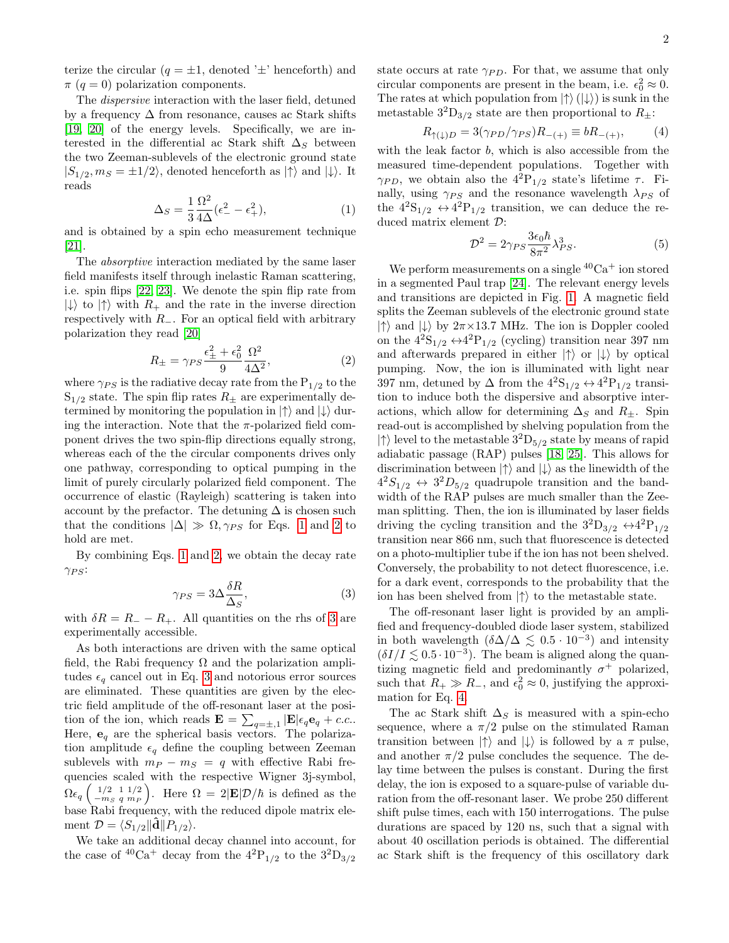terize the circular  $(q = \pm 1,$  denoted ' $\pm$ ' henceforth) and  $\pi$  (q = 0) polarization components.

The dispersive interaction with the laser field, detuned by a frequency  $\Delta$  from resonance, causes ac Stark shifts [\[19,](#page-4-20) [20\]](#page-4-21) of the energy levels. Specifically, we are interested in the differential ac Stark shift  $\Delta_S$  between the two Zeeman-sublevels of the electronic ground state  $|S_{1/2}, m_S = \pm 1/2\rangle$ , denoted henceforth as  $|\uparrow\rangle$  and  $|\downarrow\rangle$ . It reads

<span id="page-1-0"></span>
$$
\Delta_S = \frac{1}{3} \frac{\Omega^2}{4\Delta} (\epsilon_-^2 - \epsilon_+^2),\tag{1}
$$

and is obtained by a spin echo measurement technique [\[21\]](#page-4-22).

The absorptive interaction mediated by the same laser field manifests itself through inelastic Raman scattering, i.e. spin flips [\[22,](#page-4-23) [23\]](#page-4-24). We denote the spin flip rate from  $|\downarrow\rangle$  to  $|\uparrow\rangle$  with  $R_+$  and the rate in the inverse direction respectively with  $R_$ . For an optical field with arbitrary polarization they read [\[20\]](#page-4-21)

<span id="page-1-1"></span>
$$
R_{\pm} = \gamma_{PS} \frac{\epsilon_{\pm}^2 + \epsilon_0^2}{9} \frac{\Omega^2}{4\Delta^2},\tag{2}
$$

where  $\gamma_{PS}$  is the radiative decay rate from the  $P_{1/2}$  to the  $S_{1/2}$  state. The spin flip rates  $R_{\pm}$  are experimentally determined by monitoring the population in  $|\uparrow\rangle$  and  $|\downarrow\rangle$  during the interaction. Note that the  $\pi$ -polarized field component drives the two spin-flip directions equally strong, whereas each of the the circular components drives only one pathway, corresponding to optical pumping in the limit of purely circularly polarized field component. The occurrence of elastic (Rayleigh) scattering is taken into account by the prefactor. The detuning  $\Delta$  is chosen such that the conditions  $|\Delta| \gg \Omega, \gamma_{PS}$  for Eqs. [1](#page-1-0) and [2](#page-1-1) to hold are met.

By combining Eqs. [1](#page-1-0) and [2,](#page-1-1) we obtain the decay rate  $\gamma_{PS}$ :

<span id="page-1-2"></span>
$$
\gamma_{PS} = 3\Delta \frac{\delta R}{\Delta_S},\tag{3}
$$

with  $\delta R = R_{-} - R_{+}$ . All quantities on the rhs of [3](#page-1-2) are experimentally accessible.

As both interactions are driven with the same optical field, the Rabi frequency  $\Omega$  and the polarization amplitudes  $\epsilon_q$  cancel out in Eq. [3](#page-1-2) and notorious error sources are eliminated. These quantities are given by the electric field amplitude of the off-resonant laser at the position of the ion, which reads  $\mathbf{E} = \sum_{q=\pm,1} |\mathbf{E}|\epsilon_q \mathbf{e}_q + c.c..$ Here,  $\mathbf{e}_q$  are the spherical basis vectors. The polarization amplitude  $\epsilon_q$  define the coupling between Zeeman sublevels with  $m_P - m_S = q$  with effective Rabi frequencies scaled with the respective Wigner 3j-symbol,  $\Omega\epsilon_{q}\left(\begin{smallmatrix} 1/2 & 1 & 1/2 \ -m_{S} & q & m_{P} \end{smallmatrix}\right)$ ). Here  $\Omega = 2|\mathbf{E}| \mathcal{D}/\hbar$  is defined as the base Rabi frequency, with the reduced dipole matrix element  $\mathcal{D} = \langle S_{1/2} || \mathbf{d} || P_{1/2} \rangle$ .

We take an additional decay channel into account, for the case of  $\rm{^{40}Ca^+}$  decay from the  $\rm{4^{2}P_{1/2}}$  to the  $\rm{3^{2}D_{3/2}}$ 

state occurs at rate  $\gamma_{PD}$ . For that, we assume that only circular components are present in the beam, i.e.  $\epsilon_0^2 \approx 0$ . The rates at which population from  $|\uparrow\rangle (|\downarrow\rangle)$  is sunk in the metastable  $3^{2}D_{3/2}$  state are then proportional to  $R_{\pm}$ :

<span id="page-1-3"></span>
$$
R_{\uparrow(\downarrow)D} = 3(\gamma_{PD}/\gamma_{PS})R_{-(+)} \equiv bR_{-(+)},\tag{4}
$$

with the leak factor  $b$ , which is also accessible from the measured time-dependent populations. Together with  $\gamma_{PD}$ , we obtain also the  $4^2P_{1/2}$  state's lifetime  $\tau$ . Finally, using  $\gamma_{PS}$  and the resonance wavelength  $\lambda_{PS}$  of the  $4^{2}S_{1/2} \leftrightarrow 4^{2}P_{1/2}$  transition, we can deduce the reduced matrix element D:

<span id="page-1-4"></span>
$$
\mathcal{D}^2 = 2\gamma_{PS} \frac{3\epsilon_0 \hbar}{8\pi^2} \lambda_{PS}^3.
$$
 (5)

We perform measurements on a single  ${}^{40}Ca^+$  ion stored in a segmented Paul trap [\[24\]](#page-4-25). The relevant energy levels and transitions are depicted in Fig. [1.](#page-0-0) A magnetic field splits the Zeeman sublevels of the electronic ground state  $|\uparrow\rangle$  and  $|\downarrow\rangle$  by  $2\pi \times 13.7$  MHz. The ion is Doppler cooled on the  $4^{2}S_{1/2} \leftrightarrow 4^{2}P_{1/2}$  (cycling) transition near 397 nm and afterwards prepared in either  $|\uparrow\rangle$  or  $|\downarrow\rangle$  by optical pumping. Now, the ion is illuminated with light near 397 nm, detuned by  $\Delta$  from the  $4^{2}S_{1/2} \leftrightarrow 4^{2}P_{1/2}$  transition to induce both the dispersive and absorptive interactions, which allow for determining  $\Delta_S$  and  $R_{\pm}$ . Spin read-out is accomplished by shelving population from the  $|\uparrow\rangle$  level to the metastable  $3^2D_{5/2}$  state by means of rapid adiabatic passage (RAP) pulses [\[18,](#page-4-19) [25\]](#page-4-26). This allows for discrimination between  $|\uparrow\rangle$  and  $|\downarrow\rangle$  as the linewidth of the  $4^2S_{1/2} \leftrightarrow 3^2D_{5/2}$  quadrupole transition and the bandwidth of the RAP pulses are much smaller than the Zeeman splitting. Then, the ion is illuminated by laser fields driving the cycling transition and the  $3^{2}D_{3/2} \leftrightarrow 4^{2}P_{1/2}$ transition near 866 nm, such that fluorescence is detected on a photo-multiplier tube if the ion has not been shelved. Conversely, the probability to not detect fluorescence, i.e. for a dark event, corresponds to the probability that the ion has been shelved from  $|\uparrow\rangle$  to the metastable state.

The off-resonant laser light is provided by an amplified and frequency-doubled diode laser system, stabilized in both wavelength  $(\delta\Delta/\Delta \lesssim 0.5 \cdot 10^{-3})$  and intensity  $(\delta I/I \lesssim 0.5 \cdot 10^{-3})$ . The beam is aligned along the quantizing magnetic field and predominantly  $\sigma^+$  polarized, such that  $R_+ \gg R_-$ , and  $\epsilon_0^2 \approx 0$ , justifying the approximation for Eq. [4.](#page-1-3)

The ac Stark shift  $\Delta_S$  is measured with a spin-echo sequence, where a  $\pi/2$  pulse on the stimulated Raman transition between  $|\uparrow\rangle$  and  $|\downarrow\rangle$  is followed by a  $\pi$  pulse, and another  $\pi/2$  pulse concludes the sequence. The delay time between the pulses is constant. During the first delay, the ion is exposed to a square-pulse of variable duration from the off-resonant laser. We probe 250 different shift pulse times, each with 150 interrogations. The pulse durations are spaced by 120 ns, such that a signal with about 40 oscillation periods is obtained. The differential ac Stark shift is the frequency of this oscillatory dark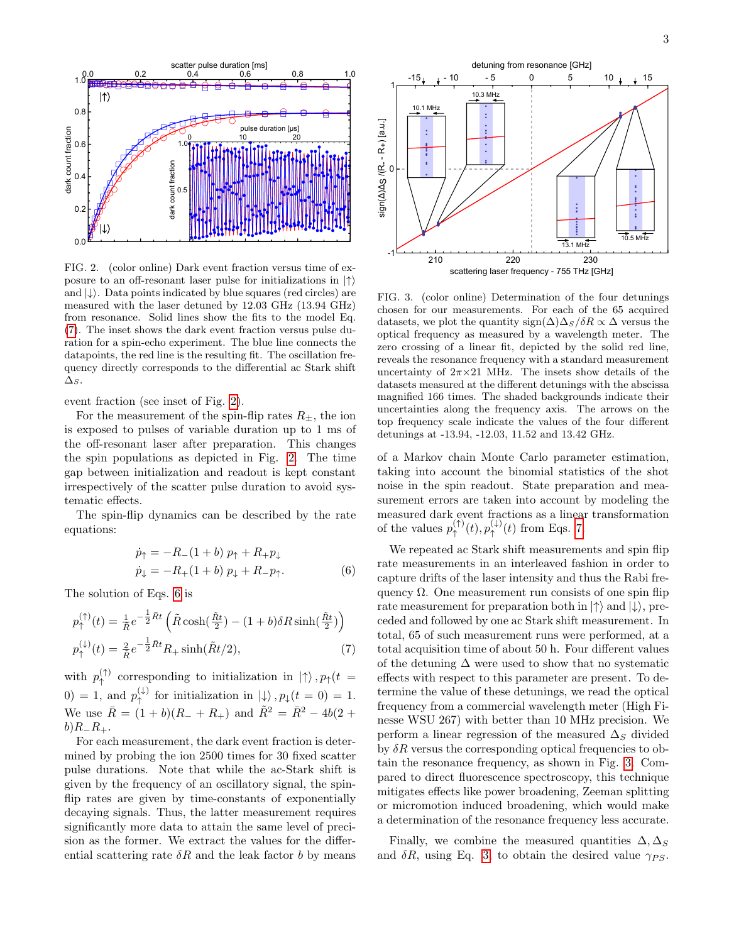

<span id="page-2-1"></span>FIG. 2. (color online) Dark event fraction versus time of exposure to an off-resonant laser pulse for initializations in  $|\uparrow\rangle$ and  $|\downarrow\rangle$ . Data points indicated by blue squares (red circles) are measured with the laser detuned by 12.03 GHz (13.94 GHz) from resonance. Solid lines show the fits to the model Eq. [\(7\)](#page-2-0). The inset shows the dark event fraction versus pulse duration for a spin-echo experiment. The blue line connects the datapoints, the red line is the resulting fit. The oscillation frequency directly corresponds to the differential ac Stark shift  $\Delta_S$ .

event fraction (see inset of Fig. [2\)](#page-2-1).

For the measurement of the spin-flip rates  $R_{\pm}$ , the ion is exposed to pulses of variable duration up to 1 ms of the off-resonant laser after preparation. This changes the spin populations as depicted in Fig. [2.](#page-2-1) The time gap between initialization and readout is kept constant irrespectively of the scatter pulse duration to avoid systematic effects.

The spin-flip dynamics can be described by the rate equations:

<span id="page-2-2"></span>
$$
\dot{p}_{\uparrow} = -R_{-}(1+b) p_{\uparrow} + R_{+} p_{\downarrow} \n\dot{p}_{\downarrow} = -R_{+}(1+b) p_{\downarrow} + R_{-} p_{\uparrow}.
$$
\n(6)

The solution of Eqs. [6](#page-2-2) is

<span id="page-2-0"></span>
$$
p_{\uparrow}^{(\uparrow)}(t) = \frac{1}{\tilde{R}} e^{-\frac{1}{2}\tilde{R}t} \left( \tilde{R} \cosh(\frac{\tilde{R}t}{2}) - (1+b)\delta R \sinh(\frac{\tilde{R}t}{2}) \right)
$$
  

$$
p_{\uparrow}^{(\downarrow)}(t) = \frac{2}{\tilde{R}} e^{-\frac{1}{2}\tilde{R}t} R_{+} \sinh(\tilde{R}t/2),
$$
 (7)

with  $p_{\uparrow}^{(\uparrow)}$  $\uparrow$ <sup>(1)</sup> corresponding to initialization in  $|\uparrow\rangle$ ,  $p_{\uparrow}(t)$ 0) = 1, and  $p_{\uparrow}^{(\downarrow)}$  for initialization in  $|\downarrow\rangle$ ,  $p_{\downarrow}(t = 0) = 1$ . We use  $\bar{R} = (1 + b)(R_{-} + R_{+})$  and  $\tilde{R}^{2} = \bar{R}^{2} - 4b(2 +$  $b)R_R_R_+$ .

For each measurement, the dark event fraction is determined by probing the ion 2500 times for 30 fixed scatter pulse durations. Note that while the ac-Stark shift is given by the frequency of an oscillatory signal, the spinflip rates are given by time-constants of exponentially decaying signals. Thus, the latter measurement requires significantly more data to attain the same level of precision as the former. We extract the values for the differential scattering rate  $\delta R$  and the leak factor b by means



<span id="page-2-3"></span>FIG. 3. (color online) Determination of the four detunings chosen for our measurements. For each of the 65 acquired datasets, we plot the quantity sign( $\Delta$ ) $\Delta_S/\delta R \propto \Delta$  versus the optical frequency as measured by a wavelength meter. The zero crossing of a linear fit, depicted by the solid red line, reveals the resonance frequency with a standard measurement uncertainty of  $2\pi \times 21$  MHz. The insets show details of the datasets measured at the different detunings with the abscissa magnified 166 times. The shaded backgrounds indicate their uncertainties along the frequency axis. The arrows on the top frequency scale indicate the values of the four different detunings at -13.94, -12.03, 11.52 and 13.42 GHz.

of a Markov chain Monte Carlo parameter estimation, taking into account the binomial statistics of the shot noise in the spin readout. State preparation and measurement errors are taken into account by modeling the measured dark event fractions as a linear transformation of the values  $p_{\uparrow}^{(\uparrow)}$  $\phi^{(\uparrow)}_{\uparrow}(t), p^{(\downarrow)}_{\uparrow}$  $\uparrow^{\downarrow\downarrow}(t)$  from Eqs. [7.](#page-2-0)

We repeated ac Stark shift measurements and spin flip rate measurements in an interleaved fashion in order to capture drifts of the laser intensity and thus the Rabi frequency  $\Omega$ . One measurement run consists of one spin flip rate measurement for preparation both in  $|\uparrow\rangle$  and  $|\downarrow\rangle$ , preceded and followed by one ac Stark shift measurement. In total, 65 of such measurement runs were performed, at a total acquisition time of about 50 h. Four different values of the detuning  $\Delta$  were used to show that no systematic effects with respect to this parameter are present. To determine the value of these detunings, we read the optical frequency from a commercial wavelength meter (High Finesse WSU 267) with better than 10 MHz precision. We perform a linear regression of the measured  $\Delta_S$  divided by  $\delta R$  versus the corresponding optical frequencies to obtain the resonance frequency, as shown in Fig. [3.](#page-2-3) Compared to direct fluorescence spectroscopy, this technique mitigates effects like power broadening, Zeeman splitting or micromotion induced broadening, which would make a determination of the resonance frequency less accurate.

Finally, we combine the measured quantities  $\Delta, \Delta_S$ and  $\delta R$ , using Eq. [3,](#page-1-2) to obtain the desired value  $\gamma_{PS}$ .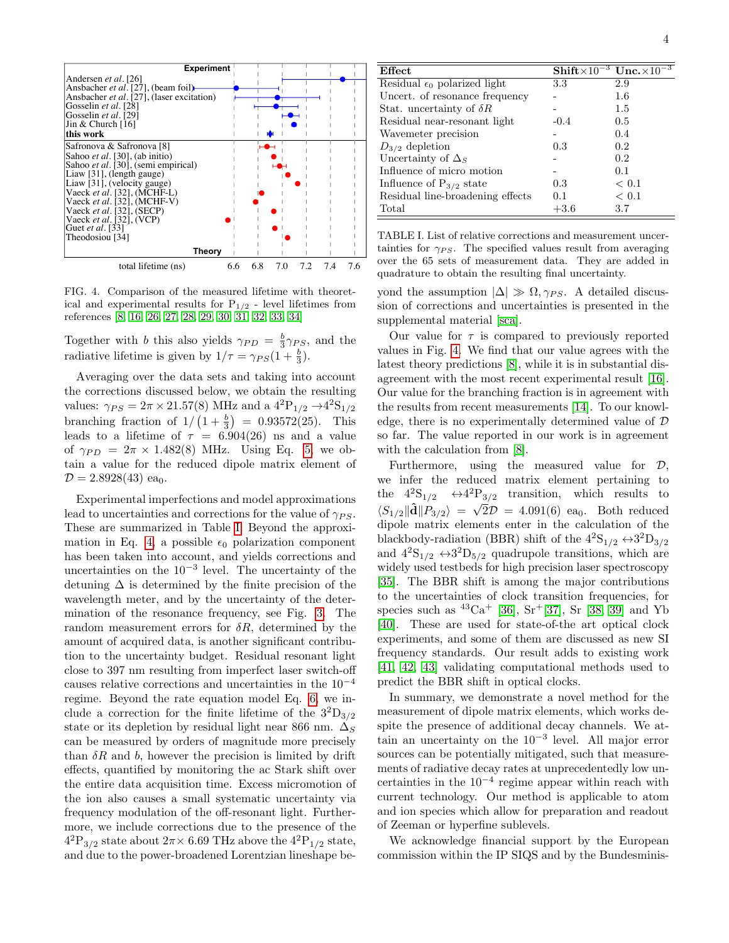

<span id="page-3-1"></span>FIG. 4. Comparison of the measured lifetime with theoretical and experimental results for  $P_{1/2}$  - level lifetimes from references [\[8,](#page-4-9) [16,](#page-4-17) [26,](#page-4-27) [27,](#page-4-28) [28,](#page-4-29) [29,](#page-4-30) [30,](#page-4-31) [31,](#page-4-32) [32,](#page-4-33) [33,](#page-4-34) [34\]](#page-4-35)

Together with b this also yields  $\gamma_{PD} = \frac{b}{3} \gamma_{PS}$ , and the radiative lifetime is given by  $1/\tau = \gamma_{PS}(1 + \frac{b}{3})$ .

Averaging over the data sets and taking into account the corrections discussed below, we obtain the resulting values:  $\gamma_{PS} = 2\pi \times 21.57(8)$  MHz and a  $4^{2}P_{1/2} \rightarrow 4^{2}S_{1/2}$ branching fraction of  $1/\left(1+\frac{b}{3}\right)$  = 0.93572(25). This leads to a lifetime of  $\tau = 6.904(26)$  ns and a value of  $\gamma_{PD} = 2\pi \times 1.482(8)$  MHz. Using Eq. [5,](#page-1-4) we obtain a value for the reduced dipole matrix element of  $\mathcal{D} = 2.8928(43)$  ea<sub>0</sub>.

Experimental imperfections and model approximations lead to uncertainties and corrections for the value of  $\gamma_{PS}$ . These are summarized in Table [I:](#page-3-0) Beyond the approxi-mation in Eq. [4,](#page-1-3) a possible  $\epsilon_0$  polarization component has been taken into account, and yields corrections and uncertainties on the 10−<sup>3</sup> level. The uncertainty of the detuning  $\Delta$  is determined by the finite precision of the wavelength meter, and by the uncertainty of the determination of the resonance frequency, see Fig. [3.](#page-2-3) The random measurement errors for  $\delta R$ , determined by the amount of acquired data, is another significant contribution to the uncertainty budget. Residual resonant light close to 397 nm resulting from imperfect laser switch-off causes relative corrections and uncertainties in the 10−<sup>4</sup> regime. Beyond the rate equation model Eq. [6,](#page-2-2) we include a correction for the finite lifetime of the  $3^{2}D_{3/2}$ state or its depletion by residual light near 866 nm.  $\Delta_S$ can be measured by orders of magnitude more precisely than  $\delta R$  and b, however the precision is limited by drift effects, quantified by monitoring the ac Stark shift over the entire data acquisition time. Excess micromotion of the ion also causes a small systematic uncertainty via frequency modulation of the off-resonant light. Furthermore, we include corrections due to the presence of the  $\mathrm{^{42}P_{3/2}}$  state about  $2\pi\times$  6.69 THz above the  $\mathrm{^{42}P_{1/2}}$  state, and due to the power-broadened Lorentzian lineshape be-

| Effect                                |        | $\text{Shift} \times 10^{-3} \text{ Unc.} \times 10^{-3}$ |
|---------------------------------------|--------|-----------------------------------------------------------|
| Residual $\epsilon_0$ polarized light | 3.3    | 2.9                                                       |
| Uncert. of resonance frequency        |        | 1.6                                                       |
| Stat. uncertainty of $\delta R$       |        | 1.5                                                       |
| Residual near-resonant light          | $-0.4$ | 0.5                                                       |
| Wavemeter precision                   |        | 0.4                                                       |
| $D_{3/2}$ depletion                   | 0.3    | 0.2                                                       |
| Uncertainty of $\Delta_S$             |        | 0.2                                                       |
| Influence of micro motion             |        | 0.1                                                       |
| Influence of $P_{3/2}$ state          | 0.3    | < 0.1                                                     |
| Residual line-broadening effects      | 0.1    | < 0.1                                                     |
| Total                                 | $+3.6$ | 3.7                                                       |

<span id="page-3-0"></span>TABLE I. List of relative corrections and measurement uncertainties for  $\gamma_{PS}$ . The specified values result from averaging over the 65 sets of measurement data. They are added in quadrature to obtain the resulting final uncertainty.

yond the assumption  $|\Delta| \gg \Omega$ ,  $\gamma_{PS}$ . A detailed discussion of corrections and uncertainties is presented in the supplemental material [\[sca\]](#page-4-36).

Our value for  $\tau$  is compared to previously reported values in Fig. [4.](#page-3-1) We find that our value agrees with the latest theory predictions [\[8\]](#page-4-9), while it is in substantial disagreement with the most recent experimental result [\[16\]](#page-4-17). Our value for the branching fraction is in agreement with the results from recent measurements [\[14\]](#page-4-15). To our knowledge, there is no experimentally determined value of D so far. The value reported in our work is in agreement with the calculation from [\[8\]](#page-4-9).

Furthermore, using the measured value for  $D$ , we infer the reduced matrix element pertaining to the  $4^{2}S_{1/2} \leftrightarrow 4^{2}P_{3/2}$  transition, which results to  $\langle S_{1/2} \| \hat{\mathbf{d}} \| P_{3/2} \rangle = \sqrt{2} \mathcal{D} = 4.091(6)$  ea<sub>0</sub>. Both reduced dipole matrix elements enter in the calculation of the blackbody-radiation (BBR) shift of the  $4^{2}S_{1/2} \leftrightarrow 3^{2}D_{3/2}$ and  $4^{2}S_{1/2} \leftrightarrow 3^{2}D_{5/2}$  quadrupole transitions, which are widely used testbeds for high precision laser spectroscopy [\[35\]](#page-4-37). The BBR shift is among the major contributions to the uncertainties of clock transition frequencies, for species such as  $^{43}Ca^{+}$  [\[36\]](#page-4-38), Sr<sup>+</sup>[\[37\]](#page-4-39), Sr [\[38,](#page-4-40) [39\]](#page-4-41) and Yb [\[40\]](#page-4-42). These are used for state-of-the art optical clock experiments, and some of them are discussed as new SI frequency standards. Our result adds to existing work [\[41,](#page-4-43) [42,](#page-4-44) [43\]](#page-4-45) validating computational methods used to predict the BBR shift in optical clocks.

In summary, we demonstrate a novel method for the measurement of dipole matrix elements, which works despite the presence of additional decay channels. We attain an uncertainty on the 10−<sup>3</sup> level. All major error sources can be potentially mitigated, such that measurements of radiative decay rates at unprecedentedly low uncertainties in the  $10^{-4}$  regime appear within reach with current technology. Our method is applicable to atom and ion species which allow for preparation and readout of Zeeman or hyperfine sublevels.

We acknowledge financial support by the European commission within the IP SIQS and by the Bundesminis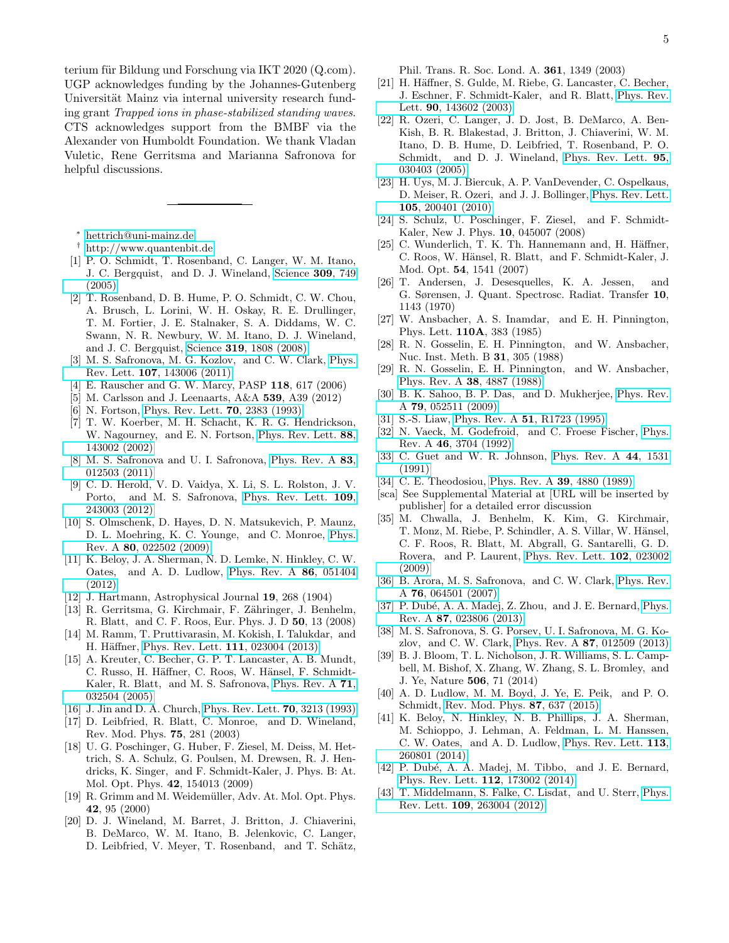terium für Bildung und Forschung via IKT 2020 (Q.com). UGP acknowledges funding by the Johannes-Gutenberg Universität Mainz via internal university research funding grant Trapped ions in phase-stabilized standing waves. CTS acknowledges support from the BMBF via the Alexander von Humboldt Foundation. We thank Vladan Vuletic, Rene Gerritsma and Marianna Safronova for helpful discussions.

<span id="page-4-0"></span><sup>∗</sup> [hettrich@uni-mainz.de](mailto:hettrich@uni-mainz.de)

- <span id="page-4-1"></span>† <http://www.quantenbit.de>
- <span id="page-4-2"></span>[1] P. O. Schmidt, T. Rosenband, C. Langer, W. M. Itano, J. C. Bergquist, and D. J. Wineland, [Science](http://dx.doi.org/ 10.1126/science.1114375) 309, 749 [\(2005\)](http://dx.doi.org/ 10.1126/science.1114375)
- <span id="page-4-3"></span>[2] T. Rosenband, D. B. Hume, P. O. Schmidt, C. W. Chou, A. Brusch, L. Lorini, W. H. Oskay, R. E. Drullinger, T. M. Fortier, J. E. Stalnaker, S. A. Diddams, W. C. Swann, N. R. Newbury, W. M. Itano, D. J. Wineland, and J. C. Bergquist, Science 319[, 1808 \(2008\)](http://dx.doi.org/ 10.1126/science.1154622)
- <span id="page-4-4"></span>[3] M. S. Safronova, M. G. Kozlov, and C. W. Clark, [Phys.](http://dx.doi.org/10.1103/PhysRevLett.107.143006) Rev. Lett. 107[, 143006 \(2011\)](http://dx.doi.org/10.1103/PhysRevLett.107.143006)
- <span id="page-4-5"></span>[4] E. Rauscher and G. W. Marcy, PASP 118, 617 (2006)
- <span id="page-4-6"></span>[5] M. Carlsson and J. Leenaarts, A&A 539, A39 (2012)
- <span id="page-4-7"></span>[6] N. Fortson, [Phys. Rev. Lett.](http://dx.doi.org/10.1103/PhysRevLett.70.2383) 70, 2383 (1993)
- <span id="page-4-8"></span>[7] T. W. Koerber, M. H. Schacht, K. R. G. Hendrickson, W. Nagourney, and E. N. Fortson, [Phys. Rev. Lett.](http://dx.doi.org/10.1103/PhysRevLett.88.143002) 88, [143002 \(2002\)](http://dx.doi.org/10.1103/PhysRevLett.88.143002)
- <span id="page-4-9"></span>[8] M. S. Safronova and U. I. Safronova, [Phys. Rev. A](http://dx.doi.org/10.1103/PhysRevA.83.012503) 83, [012503 \(2011\)](http://dx.doi.org/10.1103/PhysRevA.83.012503)
- <span id="page-4-10"></span>[9] C. D. Herold, V. D. Vaidya, X. Li, S. L. Rolston, J. V. Porto, and M. S. Safronova, [Phys. Rev. Lett.](http://dx.doi.org/ 10.1103/PhysRevLett.109.243003) 109, [243003 \(2012\)](http://dx.doi.org/ 10.1103/PhysRevLett.109.243003)
- <span id="page-4-11"></span>[10] S. Olmschenk, D. Hayes, D. N. Matsukevich, P. Maunz, D. L. Moehring, K. C. Younge, and C. Monroe, [Phys.](http://dx.doi.org/ 10.1103/PhysRevA.80.022502) Rev. A 80[, 022502 \(2009\)](http://dx.doi.org/ 10.1103/PhysRevA.80.022502)
- <span id="page-4-12"></span>[11] K. Beloy, J. A. Sherman, N. D. Lemke, N. Hinkley, C. W. Oates, and A. D. Ludlow, [Phys. Rev. A](http://dx.doi.org/ 10.1103/PhysRevA.86.051404) 86, 051404 [\(2012\)](http://dx.doi.org/ 10.1103/PhysRevA.86.051404)
- <span id="page-4-13"></span>[12] J. Hartmann, Astrophysical Journal 19, 268 (1904)
- <span id="page-4-14"></span>[13] R. Gerritsma, G. Kirchmair, F. Zähringer, J. Benhelm, R. Blatt, and C. F. Roos, Eur. Phys. J. D 50, 13 (2008)
- <span id="page-4-15"></span>[14] M. Ramm, T. Pruttivarasin, M. Kokish, I. Talukdar, and H. Häffner, [Phys. Rev. Lett.](http://dx.doi.org/ 10.1103/PhysRevLett.111.023004) 111, 023004 (2013)
- <span id="page-4-16"></span>[15] A. Kreuter, C. Becher, G. P. T. Lancaster, A. B. Mundt, C. Russo, H. Häffner, C. Roos, W. Hänsel, F. Schmidt-Kaler, R. Blatt, and M. S. Safronova, [Phys. Rev. A](http://dx.doi.org/10.1103/PhysRevA.71.032504) 71, [032504 \(2005\)](http://dx.doi.org/10.1103/PhysRevA.71.032504)
- <span id="page-4-17"></span>[16] J. Jin and D. A. Church, [Phys. Rev. Lett.](http://dx.doi.org/10.1103/PhysRevLett.70.3213) 70, 3213 (1993)
- <span id="page-4-18"></span>[17] D. Leibfried, R. Blatt, C. Monroe, and D. Wineland, Rev. Mod. Phys. 75, 281 (2003)
- <span id="page-4-19"></span>[18] U. G. Poschinger, G. Huber, F. Ziesel, M. Deiss, M. Hettrich, S. A. Schulz, G. Poulsen, M. Drewsen, R. J. Hendricks, K. Singer, and F. Schmidt-Kaler, J. Phys. B: At. Mol. Opt. Phys. 42, 154013 (2009)
- <span id="page-4-20"></span>[19] R. Grimm and M. Weidemüller, Adv. At. Mol. Opt. Phys. 42, 95 (2000)
- <span id="page-4-21"></span>[20] D. J. Wineland, M. Barret, J. Britton, J. Chiaverini, B. DeMarco, W. M. Itano, B. Jelenkovic, C. Langer, D. Leibfried, V. Meyer, T. Rosenband, and T. Schätz,

Phil. Trans. R. Soc. Lond. A. 361, 1349 (2003)

- <span id="page-4-22"></span>[21] H. Häffner, S. Gulde, M. Riebe, G. Lancaster, C. Becher, J. Eschner, F. Schmidt-Kaler, and R. Blatt, [Phys. Rev.](http://dx.doi.org/10.1103/PhysRevLett.90.143602) Lett. 90[, 143602 \(2003\)](http://dx.doi.org/10.1103/PhysRevLett.90.143602)
- <span id="page-4-23"></span>[22] R. Ozeri, C. Langer, J. D. Jost, B. DeMarco, A. Ben-Kish, B. R. Blakestad, J. Britton, J. Chiaverini, W. M. Itano, D. B. Hume, D. Leibfried, T. Rosenband, P. O. Schmidt, and D. J. Wineland, [Phys. Rev. Lett.](http://dx.doi.org/ 10.1103/PhysRevLett.95.030403) 95, [030403 \(2005\)](http://dx.doi.org/ 10.1103/PhysRevLett.95.030403)
- <span id="page-4-24"></span>[23] H. Uys, M. J. Biercuk, A. P. VanDevender, C. Ospelkaus, D. Meiser, R. Ozeri, and J. J. Bollinger, [Phys. Rev. Lett.](http://dx.doi.org/ 10.1103/PhysRevLett.105.200401) 105[, 200401 \(2010\)](http://dx.doi.org/ 10.1103/PhysRevLett.105.200401)
- <span id="page-4-25"></span>[24] S. Schulz, U. Poschinger, F. Ziesel, and F. Schmidt-Kaler, New J. Phys. 10, 045007 (2008)
- <span id="page-4-26"></span>[25] C. Wunderlich, T. K. Th. Hannemann and, H. Häffner, C. Roos, W. Hänsel, R. Blatt, and F. Schmidt-Kaler, J. Mod. Opt. 54, 1541 (2007)
- <span id="page-4-27"></span>[26] T. Andersen, J. Desesquelles, K. A. Jessen, and G. Sørensen, J. Quant. Spectrosc. Radiat. Transfer 10, 1143 (1970)
- <span id="page-4-28"></span>[27] W. Ansbacher, A. S. Inamdar, and E. H. Pinnington, Phys. Lett. 110A, 383 (1985)
- <span id="page-4-29"></span>[28] R. N. Gosselin, E. H. Pinnington, and W. Ansbacher, Nuc. Inst. Meth. B 31, 305 (1988)
- <span id="page-4-30"></span>[29] R. N. Gosselin, E. H. Pinnington, and W. Ansbacher, [Phys. Rev. A](http://dx.doi.org/10.1103/PhysRevA.38.4887) 38, 4887 (1988)
- <span id="page-4-31"></span>[30] B. K. Sahoo, B. P. Das, and D. Mukherjee, [Phys. Rev.](http://dx.doi.org/10.1103/PhysRevA.79.052511) A 79[, 052511 \(2009\)](http://dx.doi.org/10.1103/PhysRevA.79.052511)
- <span id="page-4-32"></span>[31] S.-S. Liaw, Phys. Rev. A 51[, R1723 \(1995\)](http://dx.doi.org/10.1103/PhysRevA.51.R1723)
- <span id="page-4-33"></span>[32] N. Vaeck, M. Godefroid, and C. Froese Fischer, [Phys.](http://dx.doi.org/10.1103/PhysRevA.46.3704) Rev. A 46[, 3704 \(1992\)](http://dx.doi.org/10.1103/PhysRevA.46.3704)
- <span id="page-4-34"></span>[33] C. Guet and W. R. Johnson, [Phys. Rev. A](http://dx.doi.org/10.1103/PhysRevA.44.1531) 44, 1531 [\(1991\)](http://dx.doi.org/10.1103/PhysRevA.44.1531)
- <span id="page-4-35"></span>[34] C. E. Theodosiou, [Phys. Rev. A](http://dx.doi.org/10.1103/PhysRevA.39.4880) **39**, 4880 (1989)
- <span id="page-4-36"></span>[sca] See Supplemental Material at [URL will be inserted by publisher] for a detailed error discussion
- <span id="page-4-37"></span>[35] M. Chwalla, J. Benhelm, K. Kim, G. Kirchmair, T. Monz, M. Riebe, P. Schindler, A. S. Villar, W. Hänsel, C. F. Roos, R. Blatt, M. Abgrall, G. Santarelli, G. D. Rovera, and P. Laurent, [Phys. Rev. Lett.](http://dx.doi.org/ 10.1103/PhysRevLett.102.023002) 102, 023002 [\(2009\)](http://dx.doi.org/ 10.1103/PhysRevLett.102.023002)
- <span id="page-4-38"></span>[36] B. Arora, M. S. Safronova, and C. W. Clark, [Phys. Rev.](http://dx.doi.org/10.1103/PhysRevA.76.064501) A 76[, 064501 \(2007\)](http://dx.doi.org/10.1103/PhysRevA.76.064501)
- <span id="page-4-39"></span>[37] P. Dubé, A. A. Madej, Z. Zhou, and J. E. Bernard, [Phys.](http://dx.doi.org/ 10.1103/PhysRevA.87.023806) Rev. A 87[, 023806 \(2013\)](http://dx.doi.org/ 10.1103/PhysRevA.87.023806)
- <span id="page-4-40"></span>[38] M. S. Safronova, S. G. Porsev, U. I. Safronova, M. G. Kozlov, and C. W. Clark, Phys. Rev. A 87[, 012509 \(2013\)](http://dx.doi.org/10.1103/PhysRevA.87.012509)
- <span id="page-4-41"></span>[39] B. J. Bloom, T. L. Nicholson, J. R. Williams, S. L. Campbell, M. Bishof, X. Zhang, W. Zhang, S. L. Bromley, and J. Ye, Nature 506, 71 (2014)
- <span id="page-4-42"></span>[40] A. D. Ludlow, M. M. Boyd, J. Ye, E. Peik, and P. O. Schmidt, [Rev. Mod. Phys.](http://dx.doi.org/ 10.1103/RevModPhys.87.637) 87, 637 (2015)
- <span id="page-4-43"></span>[41] K. Beloy, N. Hinkley, N. B. Phillips, J. A. Sherman, M. Schioppo, J. Lehman, A. Feldman, L. M. Hanssen, C. W. Oates, and A. D. Ludlow, [Phys. Rev. Lett.](http://dx.doi.org/10.1103/PhysRevLett.113.260801) 113, [260801 \(2014\)](http://dx.doi.org/10.1103/PhysRevLett.113.260801)
- <span id="page-4-44"></span>[42] P. Dubé, A. A. Madej, M. Tibbo, and J. E. Bernard, [Phys. Rev. Lett.](http://dx.doi.org/ 10.1103/PhysRevLett.112.173002) 112, 173002 (2014)
- <span id="page-4-45"></span>[43] T. Middelmann, S. Falke, C. Lisdat, and U. Sterr, [Phys.](http://dx.doi.org/ 10.1103/PhysRevLett.109.263004) Rev. Lett. 109[, 263004 \(2012\)](http://dx.doi.org/ 10.1103/PhysRevLett.109.263004)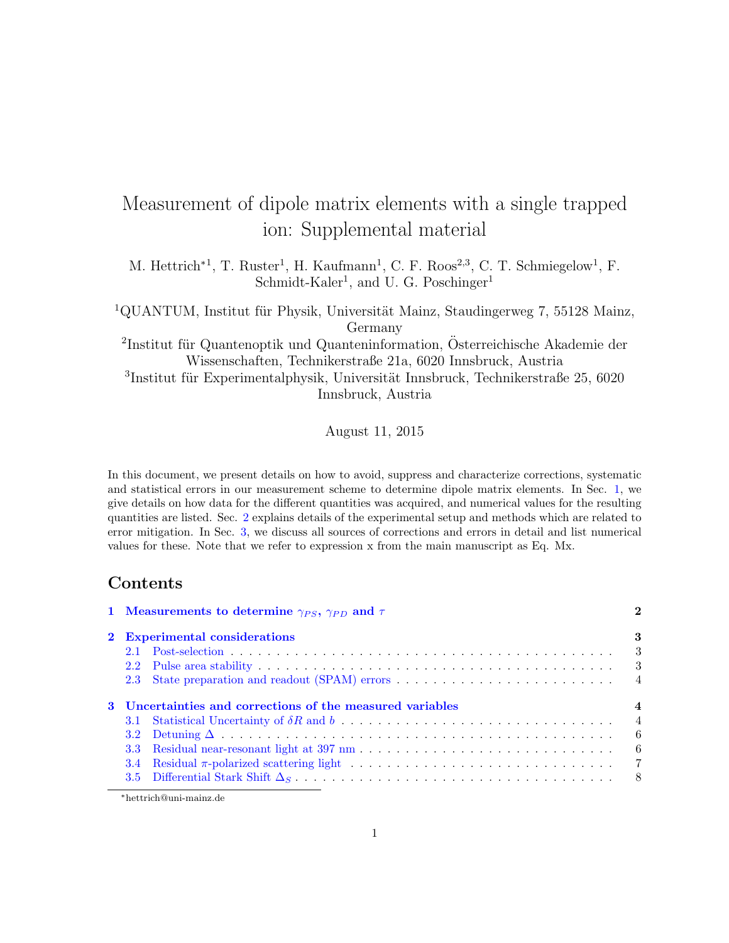# Measurement of dipole matrix elements with a single trapped ion: Supplemental material

M. Hettrich<sup>\*1</sup>, T. Ruster<sup>1</sup>, H. Kaufmann<sup>1</sup>, C. F. Roos<sup>2,3</sup>, C. T. Schmiegelow<sup>1</sup>, F. Schmidt-Kaler<sup>1</sup>, and U. G. Poschinger<sup>1</sup>

<sup>1</sup>QUANTUM, Institut für Physik, Universität Mainz, Staudingerweg 7, 55128 Mainz, Germany

 ${}^{2}$ Institut für Quantenoptik und Quanteninformation, Österreichische Akademie der Wissenschaften, Technikerstraße 21a, 6020 Innsbruck, Austria

 $3$ Institut für Experimentalphysik, Universität Innsbruck, Technikerstraße 25, 6020 Innsbruck, Austria

August 11, 2015

In this document, we present details on how to avoid, suppress and characterize corrections, systematic and statistical errors in our measurement scheme to determine dipole matrix elements. In Sec. 1, we give details on how data for the different quantities was acquired, and numerical values for the resulting quantities are listed. Sec. 2 explains details of the experimental setup and methods which are related to error mitigation. In Sec. 3, we discuss all sources of corrections and errors in detail and list numerical values for these. Note that we refer to expression x from the main manuscript as Eq. Mx.

# Contents

|                                                           |                  | 1 Measurements to determine $\gamma_{PS}$ , $\gamma_{PD}$ and $\tau$ |  |  |  |  |  |
|-----------------------------------------------------------|------------------|----------------------------------------------------------------------|--|--|--|--|--|
|                                                           |                  | 2 Experimental considerations                                        |  |  |  |  |  |
|                                                           |                  | $\overline{\phantom{a}}$                                             |  |  |  |  |  |
|                                                           |                  |                                                                      |  |  |  |  |  |
|                                                           |                  |                                                                      |  |  |  |  |  |
| 3 Uncertainties and corrections of the measured variables |                  |                                                                      |  |  |  |  |  |
|                                                           | 3.2 <sub>1</sub> |                                                                      |  |  |  |  |  |
|                                                           | 3.3 <sub>1</sub> |                                                                      |  |  |  |  |  |
|                                                           | 3.4              |                                                                      |  |  |  |  |  |
|                                                           |                  |                                                                      |  |  |  |  |  |

<sup>∗</sup>hettrich@uni-mainz.de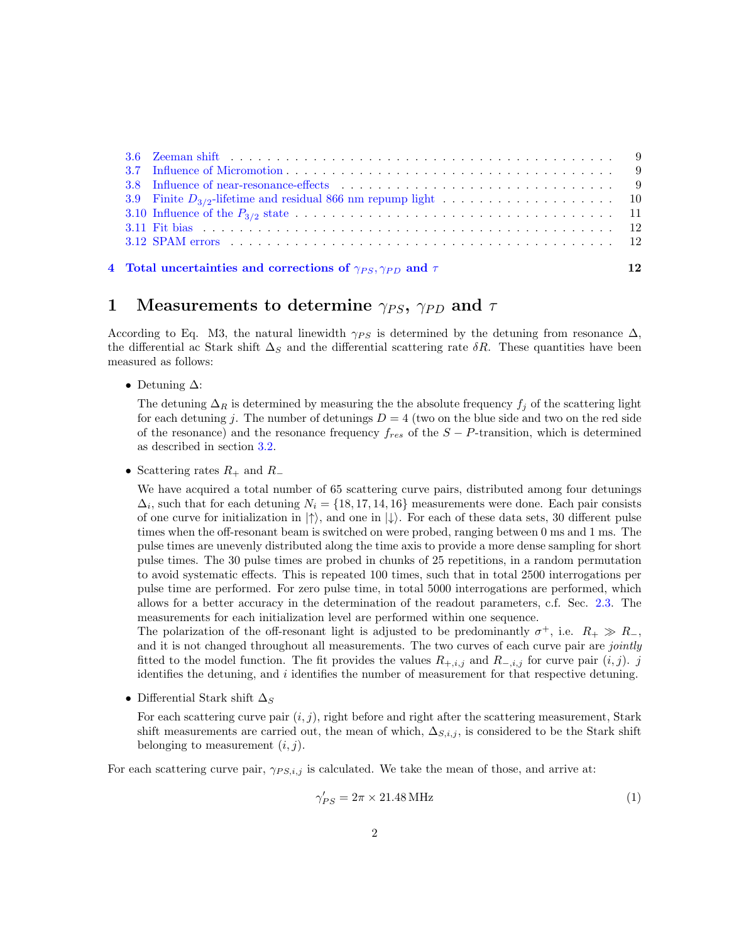|  | 4 Total uncertainties and corrections of $\gamma_{PS}, \gamma_{PD}$ and $\tau$ | 12 |
|--|--------------------------------------------------------------------------------|----|

# 1 Measurements to determine  $\gamma_{PS}$ ,  $\gamma_{PD}$  and  $\tau$

According to Eq. M3, the natural linewidth  $\gamma_{PS}$  is determined by the detuning from resonance  $\Delta$ , the differential ac Stark shift  $\Delta_S$  and the differential scattering rate  $\delta R$ . These quantities have been measured as follows:

• Detuning  $\Delta$ :

The detuning  $\Delta_R$  is determined by measuring the the absolute frequency  $f_j$  of the scattering light for each detuning j. The number of detunings  $D = 4$  (two on the blue side and two on the red side of the resonance) and the resonance frequency  $f_{res}$  of the  $S - P$ -transition, which is determined as described in section 3.2.

• Scattering rates  $R_+$  and  $R_-$ 

We have acquired a total number of 65 scattering curve pairs, distributed among four detunings  $\Delta_i$ , such that for each detuning  $N_i = \{18, 17, 14, 16\}$  measurements were done. Each pair consists of one curve for initialization in  $|\uparrow\rangle$ , and one in  $|\downarrow\rangle$ . For each of these data sets, 30 different pulse times when the off-resonant beam is switched on were probed, ranging between 0 ms and 1 ms. The pulse times are unevenly distributed along the time axis to provide a more dense sampling for short pulse times. The 30 pulse times are probed in chunks of 25 repetitions, in a random permutation to avoid systematic effects. This is repeated 100 times, such that in total 2500 interrogations per pulse time are performed. For zero pulse time, in total 5000 interrogations are performed, which allows for a better accuracy in the determination of the readout parameters, c.f. Sec. 2.3. The measurements for each initialization level are performed within one sequence.

The polarization of the off-resonant light is adjusted to be predominantly  $\sigma^+$ , i.e.  $R_+ \gg R_-$ , and it is not changed throughout all measurements. The two curves of each curve pair are *jointly* fitted to the model function. The fit provides the values  $R_{+,i,j}$  and  $R_{-,i,j}$  for curve pair  $(i,j)$ . j identifies the detuning, and i identifies the number of measurement for that respective detuning.

• Differential Stark shift  $\Delta_S$ 

For each scattering curve pair  $(i, j)$ , right before and right after the scattering measurement, Stark shift measurements are carried out, the mean of which,  $\Delta_{S,i,j}$ , is considered to be the Stark shift belonging to measurement  $(i, j)$ .

For each scattering curve pair,  $\gamma_{PS,i,j}$  is calculated. We take the mean of those, and arrive at:

$$
\gamma'_{PS} = 2\pi \times 21.48 \,\text{MHz} \tag{1}
$$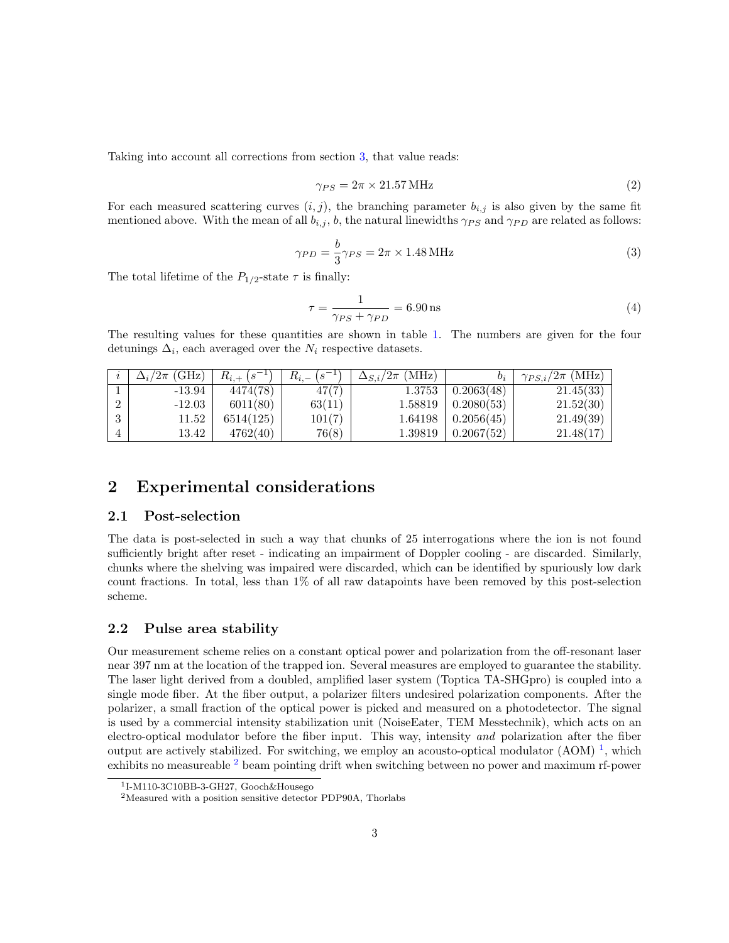Taking into account all corrections from section 3, that value reads:

$$
\gamma_{PS} = 2\pi \times 21.57 \,\text{MHz} \tag{2}
$$

For each measured scattering curves  $(i, j)$ , the branching parameter  $b_{i,j}$  is also given by the same fit mentioned above. With the mean of all  $b_{i,j}$ , b, the natural linewidths  $\gamma_{PS}$  and  $\gamma_{PD}$  are related as follows:

$$
\gamma_{PD} = \frac{b}{3} \gamma_{PS} = 2\pi \times 1.48 \,\text{MHz} \tag{3}
$$

The total lifetime of the  $P_{1/2}$ -state  $\tau$  is finally:

$$
\tau = \frac{1}{\gamma_{PS} + \gamma_{PD}} = 6.90 \,\text{ns} \tag{4}
$$

The resulting values for these quantities are shown in table 1. The numbers are given for the four detunings  $\Delta_i$ , each averaged over the  $N_i$  respective datasets.

| $\Delta_i/2\pi$ (GHz) | $R_{i,+}(s^{-1})$ | $(5^{-1})$<br>$R_{i,-}$ | $\Delta_{S,i}/2\pi$ (MHz) | $b_i$      | $\gamma_{PS,i}/2\pi$ (MHz) |
|-----------------------|-------------------|-------------------------|---------------------------|------------|----------------------------|
| $-13.94$              | 4474(78)          | 47(7)                   | 1.3753                    | 0.2063(48) | 21.45(33)                  |
| $-12.03$              | 6011(80)          | 63(11)                  | 1.58819                   | 0.2080(53) | 21.52(30)                  |
| 11.52                 | 6514(125)         | 101(7)                  | 1.64198                   | 0.2056(45) | 21.49(39)                  |
| 13.42                 | 4762(40)          | 76(8)                   | 1.39819                   | 0.2067(52) | 21.48(17)                  |

# 2 Experimental considerations

# 2.1 Post-selection

The data is post-selected in such a way that chunks of 25 interrogations where the ion is not found sufficiently bright after reset - indicating an impairment of Doppler cooling - are discarded. Similarly, chunks where the shelving was impaired were discarded, which can be identified by spuriously low dark count fractions. In total, less than 1% of all raw datapoints have been removed by this post-selection scheme.

# 2.2 Pulse area stability

Our measurement scheme relies on a constant optical power and polarization from the off-resonant laser near 397 nm at the location of the trapped ion. Several measures are employed to guarantee the stability. The laser light derived from a doubled, amplified laser system (Toptica TA-SHGpro) is coupled into a single mode fiber. At the fiber output, a polarizer filters undesired polarization components. After the polarizer, a small fraction of the optical power is picked and measured on a photodetector. The signal is used by a commercial intensity stabilization unit (NoiseEater, TEM Messtechnik), which acts on an electro-optical modulator before the fiber input. This way, intensity and polarization after the fiber output are actively stabilized. For switching, we employ an acousto-optical modulator  $(AOM)^{-1}$ , which exhibits no measureable <sup>2</sup> beam pointing drift when switching between no power and maximum rf-power

<sup>1</sup> I-M110-3C10BB-3-GH27, Gooch&Housego

<sup>2</sup>Measured with a position sensitive detector PDP90A, Thorlabs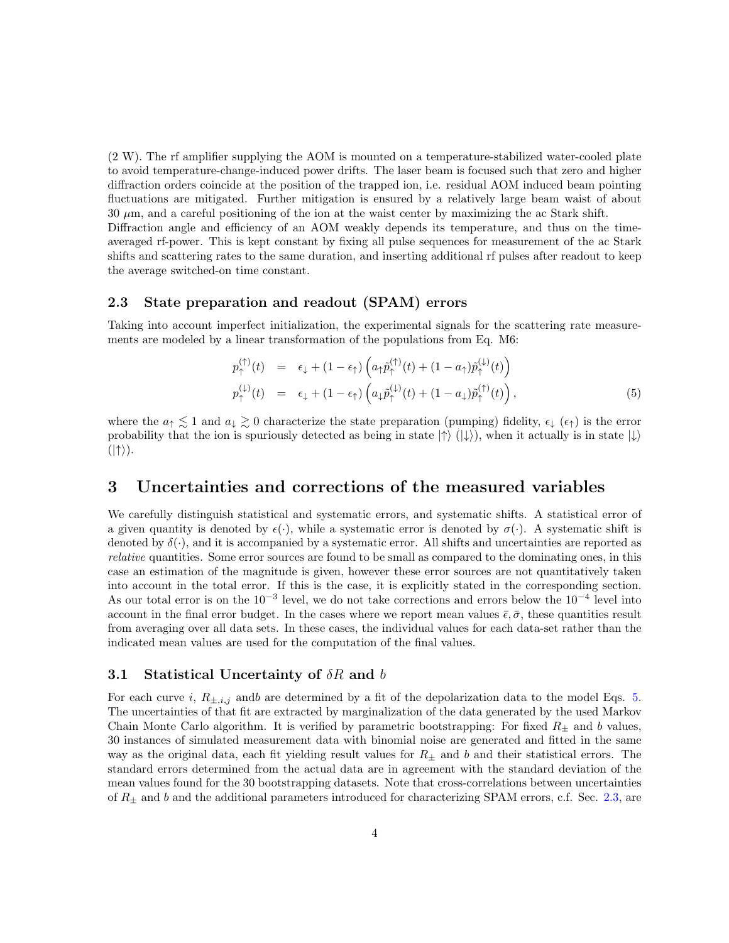(2 W). The rf amplifier supplying the AOM is mounted on a temperature-stabilized water-cooled plate to avoid temperature-change-induced power drifts. The laser beam is focused such that zero and higher diffraction orders coincide at the position of the trapped ion, i.e. residual AOM induced beam pointing fluctuations are mitigated. Further mitigation is ensured by a relatively large beam waist of about  $30 \mu$ m, and a careful positioning of the ion at the waist center by maximizing the ac Stark shift. Diffraction angle and efficiency of an AOM weakly depends its temperature, and thus on the timeaveraged rf-power. This is kept constant by fixing all pulse sequences for measurement of the ac Stark shifts and scattering rates to the same duration, and inserting additional rf pulses after readout to keep

# the average switched-on time constant.

# 2.3 State preparation and readout (SPAM) errors

Taking into account imperfect initialization, the experimental signals for the scattering rate measurements are modeled by a linear transformation of the populations from Eq. M6:

$$
p_{\uparrow}^{(\uparrow)}(t) = \epsilon_{\downarrow} + (1 - \epsilon_{\uparrow}) \left( a_{\uparrow} \tilde{p}_{\uparrow}^{(\uparrow)}(t) + (1 - a_{\uparrow}) \tilde{p}_{\uparrow}^{(\downarrow)}(t) \right)
$$
  
\n
$$
p_{\uparrow}^{(\downarrow)}(t) = \epsilon_{\downarrow} + (1 - \epsilon_{\uparrow}) \left( a_{\downarrow} \tilde{p}_{\uparrow}^{(\downarrow)}(t) + (1 - a_{\downarrow}) \tilde{p}_{\uparrow}^{(\uparrow)}(t) \right),
$$
\n(5)

where the  $a_{\uparrow} \lesssim 1$  and  $a_{\downarrow} \gtrsim 0$  characterize the state preparation (pumping) fidelity,  $\epsilon_{\downarrow}$  ( $\epsilon_{\uparrow}$ ) is the error probability that the ion is spuriously detected as being in state  $|\uparrow\rangle$  ( $|\downarrow\rangle$ ), when it actually is in state  $|\downarrow\rangle$  $(|\uparrow\rangle).$ 

# 3 Uncertainties and corrections of the measured variables

We carefully distinguish statistical and systematic errors, and systematic shifts. A statistical error of a given quantity is denoted by  $\epsilon(\cdot)$ , while a systematic error is denoted by  $\sigma(\cdot)$ . A systematic shift is denoted by  $\delta(\cdot)$ , and it is accompanied by a systematic error. All shifts and uncertainties are reported as relative quantities. Some error sources are found to be small as compared to the dominating ones, in this case an estimation of the magnitude is given, however these error sources are not quantitatively taken into account in the total error. If this is the case, it is explicitly stated in the corresponding section. As our total error is on the  $10^{-3}$  level, we do not take corrections and errors below the  $10^{-4}$  level into account in the final error budget. In the cases where we report mean values  $\bar{\epsilon}, \bar{\sigma}$ , these quantities result from averaging over all data sets. In these cases, the individual values for each data-set rather than the indicated mean values are used for the computation of the final values.

# 3.1 Statistical Uncertainty of  $\delta R$  and b

For each curve i,  $R_{\pm,i,j}$  and are determined by a fit of the depolarization data to the model Eqs. 5. The uncertainties of that fit are extracted by marginalization of the data generated by the used Markov Chain Monte Carlo algorithm. It is verified by parametric bootstrapping: For fixed  $R_{\pm}$  and b values, 30 instances of simulated measurement data with binomial noise are generated and fitted in the same way as the original data, each fit yielding result values for  $R_{\pm}$  and b and their statistical errors. The standard errors determined from the actual data are in agreement with the standard deviation of the mean values found for the 30 bootstrapping datasets. Note that cross-correlations between uncertainties of  $R_{\pm}$  and b and the additional parameters introduced for characterizing SPAM errors, c.f. Sec. 2.3, are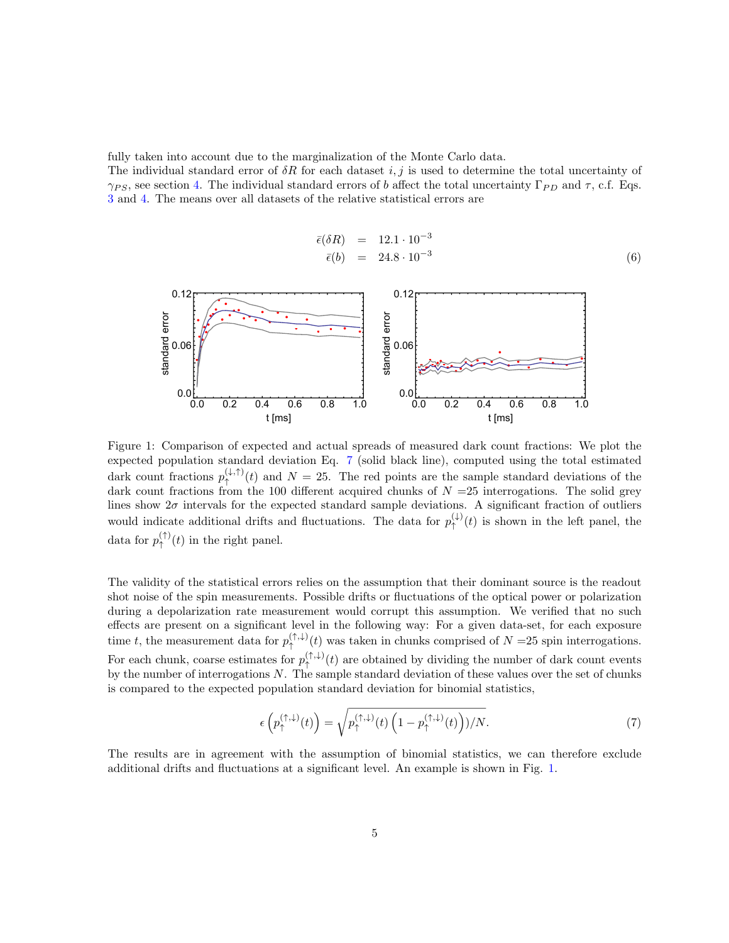fully taken into account due to the marginalization of the Monte Carlo data.

The individual standard error of  $\delta R$  for each dataset i, j is used to determine the total uncertainty of  $\gamma_{PS}$ , see section 4. The individual standard errors of b affect the total uncertainty  $\Gamma_{PD}$  and  $\tau$ , c.f. Eqs. 3 and 4. The means over all datasets of the relative statistical errors are

$$
\begin{array}{rcl}\n\bar{\epsilon}(\delta R) & = & 12.1 \cdot 10^{-3} \\
\bar{\epsilon}(b) & = & 24.8 \cdot 10^{-3}\n\end{array} \tag{6}
$$



Figure 1: Comparison of expected and actual spreads of measured dark count fractions: We plot the expected population standard deviation Eq. 7 (solid black line), computed using the total estimated dark count fractions  $p_{\uparrow}^{(\downarrow,\uparrow)}(t)$  and  $N=25$ . The red points are the sample standard deviations of the dark count fractions from the 100 different acquired chunks of  $N = 25$  interrogations. The solid grey lines show  $2\sigma$  intervals for the expected standard sample deviations. A significant fraction of outliers would indicate additional drifts and fluctuations. The data for  $p_{\uparrow}^{(\downarrow)}$  $\hat{\uparrow}^{(1)}(t)$  is shown in the left panel, the data for  $p_{\uparrow}^{(\uparrow)}$  $\uparrow^{\langle \dagger \rangle}(t)$  in the right panel.

The validity of the statistical errors relies on the assumption that their dominant source is the readout shot noise of the spin measurements. Possible drifts or fluctuations of the optical power or polarization during a depolarization rate measurement would corrupt this assumption. We verified that no such effects are present on a significant level in the following way: For a given data-set, for each exposure time t, the measurement data for  $p_{\uparrow}^{(\uparrow,\downarrow)}$  $\hat{\phi}^{(+,)}(t)$  was taken in chunks comprised of  $N = 25$  spin interrogations. For each chunk, coarse estimates for  $p_{\uparrow}^{(\uparrow,\downarrow)}(t)$  are obtained by dividing the number of dark count events by the number of interrogations  $N$ . The sample standard deviation of these values over the set of chunks is compared to the expected population standard deviation for binomial statistics,

$$
\epsilon\left(p_{\uparrow}^{(\uparrow,\downarrow)}(t)\right) = \sqrt{p_{\uparrow}^{(\uparrow,\downarrow)}(t)\left(1-p_{\uparrow}^{(\uparrow,\downarrow)}(t)\right)/N}.\tag{7}
$$

The results are in agreement with the assumption of binomial statistics, we can therefore exclude additional drifts and fluctuations at a significant level. An example is shown in Fig. 1.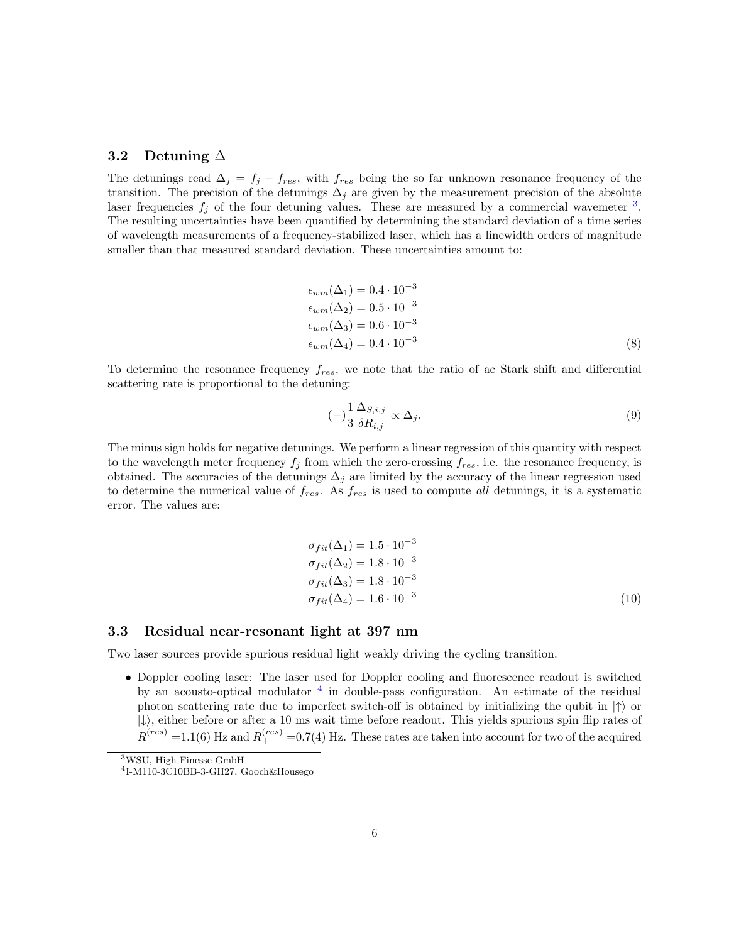### 3.2 Detuning ∆

The detunings read  $\Delta_j = f_j - f_{res}$ , with  $f_{res}$  being the so far unknown resonance frequency of the transition. The precision of the detunings  $\Delta_j$  are given by the measurement precision of the absolute laser frequencies  $f_j$  of the four detuning values. These are measured by a commercial wavemeter  $^3$ . The resulting uncertainties have been quantified by determining the standard deviation of a time series of wavelength measurements of a frequency-stabilized laser, which has a linewidth orders of magnitude smaller than that measured standard deviation. These uncertainties amount to:

$$
\epsilon_{wm}(\Delta_1) = 0.4 \cdot 10^{-3}
$$
  
\n
$$
\epsilon_{wm}(\Delta_2) = 0.5 \cdot 10^{-3}
$$
  
\n
$$
\epsilon_{wm}(\Delta_3) = 0.6 \cdot 10^{-3}
$$
  
\n
$$
\epsilon_{wm}(\Delta_4) = 0.4 \cdot 10^{-3}
$$
\n(8)

To determine the resonance frequency  $f_{res}$ , we note that the ratio of ac Stark shift and differential scattering rate is proportional to the detuning:

$$
(-)\frac{1}{3}\frac{\Delta_{S,i,j}}{\delta R_{i,j}} \propto \Delta_j.
$$
\n(9)

The minus sign holds for negative detunings. We perform a linear regression of this quantity with respect to the wavelength meter frequency  $f_j$  from which the zero-crossing  $f_{res}$ , i.e. the resonance frequency, is obtained. The accuracies of the detunings  $\Delta_j$  are limited by the accuracy of the linear regression used to determine the numerical value of  $f_{res}$ . As  $f_{res}$  is used to compute all detunings, it is a systematic error. The values are:

$$
\sigma_{fit}(\Delta_1) = 1.5 \cdot 10^{-3}
$$
  
\n
$$
\sigma_{fit}(\Delta_2) = 1.8 \cdot 10^{-3}
$$
  
\n
$$
\sigma_{fit}(\Delta_3) = 1.8 \cdot 10^{-3}
$$
  
\n
$$
\sigma_{fit}(\Delta_4) = 1.6 \cdot 10^{-3}
$$
\n(10)

# 3.3 Residual near-resonant light at 397 nm

Two laser sources provide spurious residual light weakly driving the cycling transition.

• Doppler cooling laser: The laser used for Doppler cooling and fluorescence readout is switched by an acousto-optical modulator <sup>4</sup> in double-pass configuration. An estimate of the residual photon scattering rate due to imperfect switch-off is obtained by initializing the qubit in  $|\uparrow\rangle$  or  $|\downarrow\rangle$ , either before or after a 10 ms wait time before readout. This yields spurious spin flip rates of  $R_{-}^{(res)}$  =1.1(6) Hz and  $R_{+}^{(res)}$  =0.7(4) Hz. These rates are taken into account for two of the acquired

<sup>3</sup>WSU, High Finesse GmbH

<sup>4</sup> I-M110-3C10BB-3-GH27, Gooch&Housego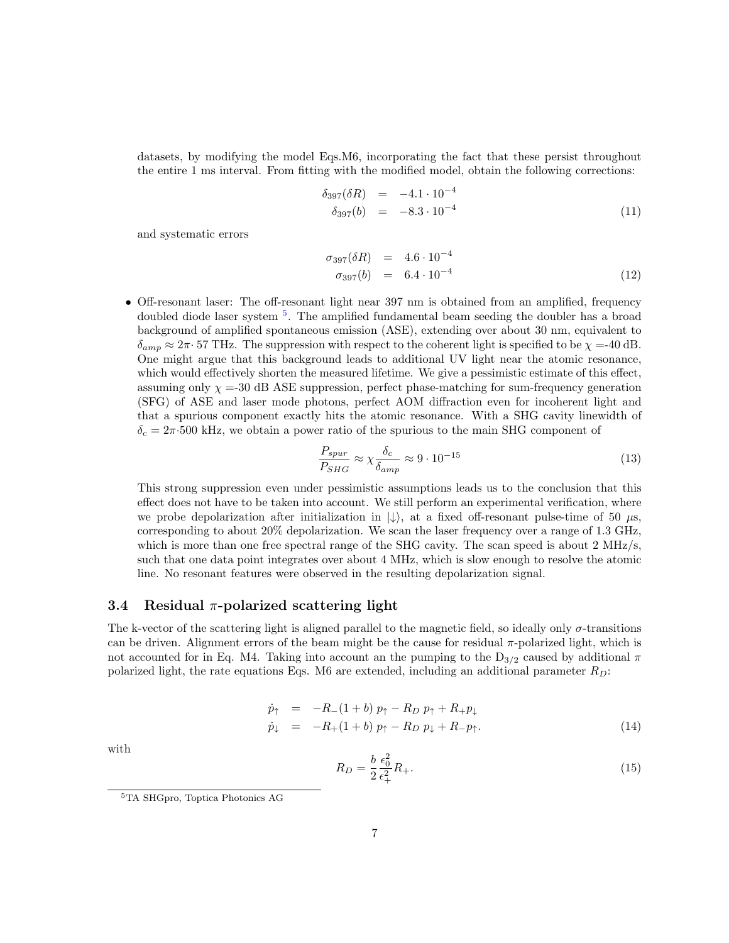datasets, by modifying the model Eqs.M6, incorporating the fact that these persist throughout the entire 1 ms interval. From fitting with the modified model, obtain the following corrections:

$$
\delta_{397}(\delta R) = -4.1 \cdot 10^{-4} \n\delta_{397}(b) = -8.3 \cdot 10^{-4}
$$
\n(11)

and systematic errors

$$
\begin{array}{rcl}\n\sigma_{397}(\delta R) & = & 4.6 \cdot 10^{-4} \\
\sigma_{397}(b) & = & 6.4 \cdot 10^{-4}\n\end{array} \tag{12}
$$

• Off-resonant laser: The off-resonant light near 397 nm is obtained from an amplified, frequency doubled diode laser system <sup>5</sup>. The amplified fundamental beam seeding the doubler has a broad background of amplified spontaneous emission (ASE), extending over about 30 nm, equivalent to  $\delta_{amp} \approx 2\pi \cdot 57$  THz. The suppression with respect to the coherent light is specified to be  $\chi = -40$  dB. One might argue that this background leads to additional UV light near the atomic resonance, which would effectively shorten the measured lifetime. We give a pessimistic estimate of this effect, assuming only  $\chi$  =-30 dB ASE suppression, perfect phase-matching for sum-frequency generation (SFG) of ASE and laser mode photons, perfect AOM diffraction even for incoherent light and that a spurious component exactly hits the atomic resonance. With a SHG cavity linewidth of  $\delta_c = 2\pi \cdot 500$  kHz, we obtain a power ratio of the spurious to the main SHG component of

$$
\frac{P_{spur}}{P_{SHG}} \approx \chi \frac{\delta_c}{\delta_{amp}} \approx 9 \cdot 10^{-15}
$$
\n(13)

This strong suppression even under pessimistic assumptions leads us to the conclusion that this effect does not have to be taken into account. We still perform an experimental verification, where we probe depolarization after initialization in  $|\downarrow\rangle$ , at a fixed off-resonant pulse-time of 50  $\mu$ s, corresponding to about 20% depolarization. We scan the laser frequency over a range of 1.3 GHz, which is more than one free spectral range of the SHG cavity. The scan speed is about 2 MHz/s, such that one data point integrates over about 4 MHz, which is slow enough to resolve the atomic line. No resonant features were observed in the resulting depolarization signal.

#### 3.4 Residual  $\pi$ -polarized scattering light

The k-vector of the scattering light is aligned parallel to the magnetic field, so ideally only σ-transitions can be driven. Alignment errors of the beam might be the cause for residual  $\pi$ -polarized light, which is not accounted for in Eq. M4. Taking into account an the pumping to the  $D_{3/2}$  caused by additional  $\pi$ polarized light, the rate equations Eqs. M6 are extended, including an additional parameter  $R_D$ :

$$
\dot{p}_{\uparrow} = -R_{-}(1+b) p_{\uparrow} - R_{D} p_{\uparrow} + R_{+} p_{\downarrow} \n\dot{p}_{\downarrow} = -R_{+}(1+b) p_{\uparrow} - R_{D} p_{\downarrow} + R_{-} p_{\uparrow}.
$$
\n(14)

with

$$
R_D = \frac{b}{2} \frac{\epsilon_0^2}{\epsilon_+^2} R_+.
$$
\n(15)

<sup>5</sup>TA SHGpro, Toptica Photonics AG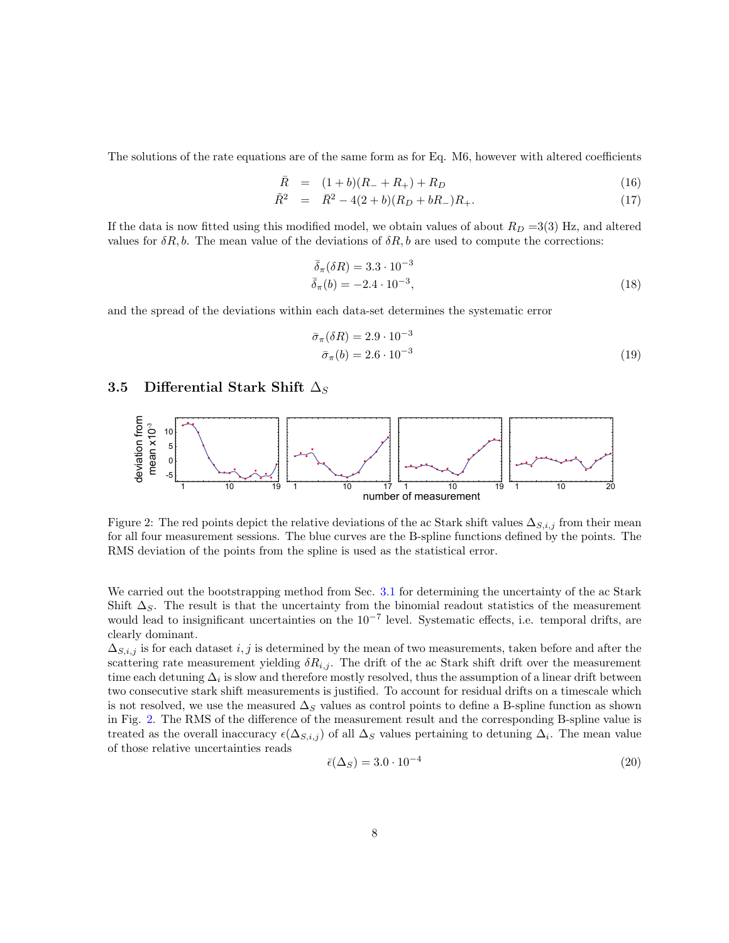The solutions of the rate equations are of the same form as for Eq. M6, however with altered coefficients

$$
\bar{R} = (1+b)(R_{-}+R_{+})+R_{D} \tag{16}
$$

$$
\tilde{R}^2 = \bar{R}^2 - 4(2+b)(R_D + bR_-)R_+.
$$
\n(17)

If the data is now fitted using this modified model, we obtain values of about  $R_D = 3(3)$  Hz, and altered values for  $\delta R$ , b. The mean value of the deviations of  $\delta R$ , b are used to compute the corrections:

$$
\bar{\delta}_{\pi}(\delta R) = 3.3 \cdot 10^{-3} \n\bar{\delta}_{\pi}(b) = -2.4 \cdot 10^{-3},
$$
\n(18)

and the spread of the deviations within each data-set determines the systematic error

$$
\bar{\sigma}_{\pi}(\delta R) = 2.9 \cdot 10^{-3}
$$
  
\n
$$
\bar{\sigma}_{\pi}(b) = 2.6 \cdot 10^{-3}
$$
\n(19)

# 3.5 Differential Stark Shift  $\Delta_S$



Figure 2: The red points depict the relative deviations of the ac Stark shift values  $\Delta_{S,i,j}$  from their mean for all four measurement sessions. The blue curves are the B-spline functions defined by the points. The RMS deviation of the points from the spline is used as the statistical error.

We carried out the bootstrapping method from Sec. 3.1 for determining the uncertainty of the ac Stark Shift  $\Delta_S$ . The result is that the uncertainty from the binomial readout statistics of the measurement would lead to insignificant uncertainties on the  $10^{-7}$  level. Systematic effects, i.e. temporal drifts, are clearly dominant.

 $\Delta_{S,i,j}$  is for each dataset i, j is determined by the mean of two measurements, taken before and after the scattering rate measurement yielding  $\delta R_{i,j}$ . The drift of the ac Stark shift drift over the measurement time each detuning  $\Delta_i$  is slow and therefore mostly resolved, thus the assumption of a linear drift between two consecutive stark shift measurements is justified. To account for residual drifts on a timescale which is not resolved, we use the measured  $\Delta_S$  values as control points to define a B-spline function as shown in Fig. 2. The RMS of the difference of the measurement result and the corresponding B-spline value is treated as the overall inaccuracy  $\epsilon(\Delta_{S,i,j})$  of all  $\Delta_S$  values pertaining to detuning  $\Delta_i$ . The mean value of those relative uncertainties reads

$$
\bar{\epsilon}(\Delta_S) = 3.0 \cdot 10^{-4} \tag{20}
$$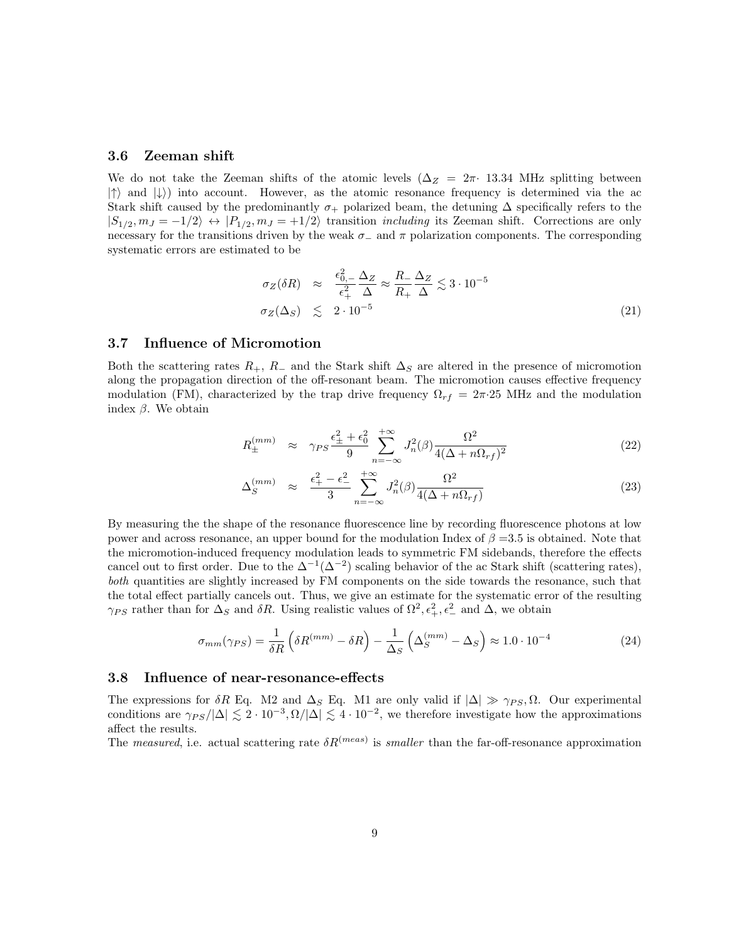#### 3.6 Zeeman shift

We do not take the Zeeman shifts of the atomic levels ( $\Delta_Z = 2\pi \cdot 13.34$  MHz splitting between  $|\uparrow\rangle$  and  $|\downarrow\rangle$ ) into account. However, as the atomic resonance frequency is determined via the ac Stark shift caused by the predominantly  $\sigma_+$  polarized beam, the detuning  $\Delta$  specifically refers to the  $|S_{1/2}, m_J = -1/2\rangle \leftrightarrow |P_{1/2}, m_J = +1/2\rangle$  transition *including* its Zeeman shift. Corrections are only necessary for the transitions driven by the weak  $\sigma_-\$  and  $\pi$  polarization components. The corresponding systematic errors are estimated to be

$$
\sigma_Z(\delta R) \approx \frac{\epsilon_{0,-}^2}{\epsilon_+^2} \frac{\Delta_Z}{\Delta} \approx \frac{R_-}{R_+} \frac{\Delta_Z}{\Delta} \lesssim 3 \cdot 10^{-5}
$$
\n
$$
\sigma_Z(\Delta_S) \lesssim 2 \cdot 10^{-5}
$$
\n(21)

### 3.7 Influence of Micromotion

Both the scattering rates  $R_+$ ,  $R_-$  and the Stark shift  $\Delta_S$  are altered in the presence of micromotion along the propagation direction of the off-resonant beam. The micromotion causes effective frequency modulation (FM), characterized by the trap drive frequency  $\Omega_{rf} = 2\pi \cdot 25$  MHz and the modulation index  $β$ . We obtain

$$
R_{\pm}^{(mm)} \approx \gamma_{PS} \frac{\epsilon_{\pm}^2 + \epsilon_0^2}{9} \sum_{n=-\infty}^{+\infty} J_n^2(\beta) \frac{\Omega^2}{4(\Delta + n\Omega_{rf})^2}
$$
(22)

$$
\Delta_S^{(mm)} \approx \frac{\epsilon_+^2 - \epsilon_-^2}{3} \sum_{n=-\infty}^{+\infty} J_n^2(\beta) \frac{\Omega^2}{4(\Delta + n\Omega_{rf})}
$$
(23)

By measuring the the shape of the resonance fluorescence line by recording fluorescence photons at low power and across resonance, an upper bound for the modulation Index of  $\beta = 3.5$  is obtained. Note that the micromotion-induced frequency modulation leads to symmetric FM sidebands, therefore the effects cancel out to first order. Due to the  $\Delta^{-1}(\Delta^{-2})$  scaling behavior of the ac Stark shift (scattering rates), both quantities are slightly increased by FM components on the side towards the resonance, such that the total effect partially cancels out. Thus, we give an estimate for the systematic error of the resulting  $\gamma_{PS}$  rather than for  $\Delta_S$  and  $\delta R$ . Using realistic values of  $\Omega^2$ ,  $\epsilon_+^2$ ,  $\epsilon_-^2$  and  $\Delta$ , we obtain

$$
\sigma_{mm}(\gamma_{PS}) = \frac{1}{\delta R} \left( \delta R^{(mm)} - \delta R \right) - \frac{1}{\Delta_S} \left( \Delta_S^{(mm)} - \Delta_S \right) \approx 1.0 \cdot 10^{-4} \tag{24}
$$

#### 3.8 Influence of near-resonance-effects

The expressions for  $\delta R$  Eq. M2 and  $\Delta_S$  Eq. M1 are only valid if  $|\Delta| \gg \gamma_{PS}$ ,  $\Omega$ . Our experimental conditions are  $\gamma_{PS}/|\Delta| \lesssim 2 \cdot 10^{-3}, \Omega/|\Delta| \lesssim 4 \cdot 10^{-2}$ , we therefore investigate how the approximations affect the results.

The measured, i.e. actual scattering rate  $\delta R^{(meas)}$  is smaller than the far-off-resonance approximation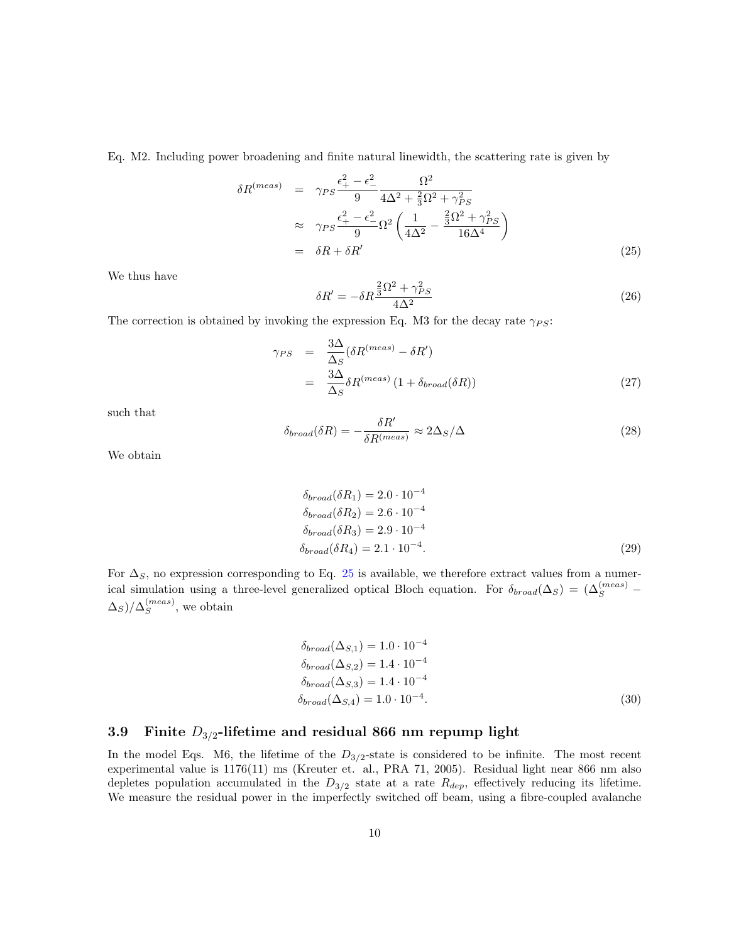Eq. M2. Including power broadening and finite natural linewidth, the scattering rate is given by

$$
\delta R^{(meas)} = \gamma_{PS} \frac{\epsilon_+^2 - \epsilon_-^2}{9} \frac{\Omega^2}{4\Delta^2 + \frac{2}{3}\Omega^2 + \gamma_{PS}^2}
$$
  
\n
$$
\approx \gamma_{PS} \frac{\epsilon_+^2 - \epsilon_-^2}{9} \Omega^2 \left( \frac{1}{4\Delta^2} - \frac{\frac{2}{3}\Omega^2 + \gamma_{PS}^2}{16\Delta^4} \right)
$$
  
\n
$$
= \delta R + \delta R' \tag{25}
$$

We thus have

$$
\delta R' = -\delta R \frac{\frac{2}{3}\Omega^2 + \gamma_{PS}^2}{4\Delta^2} \tag{26}
$$

The correction is obtained by invoking the expression Eq. M3 for the decay rate  $\gamma_{PS}$ :

$$
\gamma_{PS} = \frac{3\Delta}{\Delta_S} (\delta R^{(meas)} - \delta R') \n= \frac{3\Delta}{\Delta_S} \delta R^{(meas)} (1 + \delta_{broad}(\delta R))
$$
\n(27)

such that

$$
\delta_{broad}(\delta R) = -\frac{\delta R'}{\delta R^{(meas)}} \approx 2\Delta_S/\Delta \tag{28}
$$

We obtain

$$
\delta_{broad}(\delta R_1) = 2.0 \cdot 10^{-4}
$$
  
\n
$$
\delta_{broad}(\delta R_2) = 2.6 \cdot 10^{-4}
$$
  
\n
$$
\delta_{broad}(\delta R_3) = 2.9 \cdot 10^{-4}
$$
  
\n
$$
\delta_{broad}(\delta R_4) = 2.1 \cdot 10^{-4}.
$$
\n(29)

For  $\Delta_S$ , no expression corresponding to Eq. 25 is available, we therefore extract values from a numerical simulation using a three-level generalized optical Bloch equation. For  $\delta_{broad}(\Delta_S) = (\Delta_S^{(meas)} \Delta_S)/\Delta_S^{(meas)}$  $S^{(meas)}$ , we obtain

$$
\delta_{broad}(\Delta_{S,1}) = 1.0 \cdot 10^{-4}
$$
  
\n
$$
\delta_{broad}(\Delta_{S,2}) = 1.4 \cdot 10^{-4}
$$
  
\n
$$
\delta_{broad}(\Delta_{S,3}) = 1.4 \cdot 10^{-4}
$$
  
\n
$$
\delta_{broad}(\Delta_{S,4}) = 1.0 \cdot 10^{-4}.
$$
\n(30)

## 3.9 Finite  $D_{3/2}$ -lifetime and residual 866 nm repump light

In the model Eqs. M6, the lifetime of the  $D_{3/2}$ -state is considered to be infinite. The most recent experimental value is 1176(11) ms (Kreuter et. al., PRA 71, 2005). Residual light near 866 nm also depletes population accumulated in the  $D_{3/2}$  state at a rate  $R_{dep}$ , effectively reducing its lifetime. We measure the residual power in the imperfectly switched off beam, using a fibre-coupled avalanche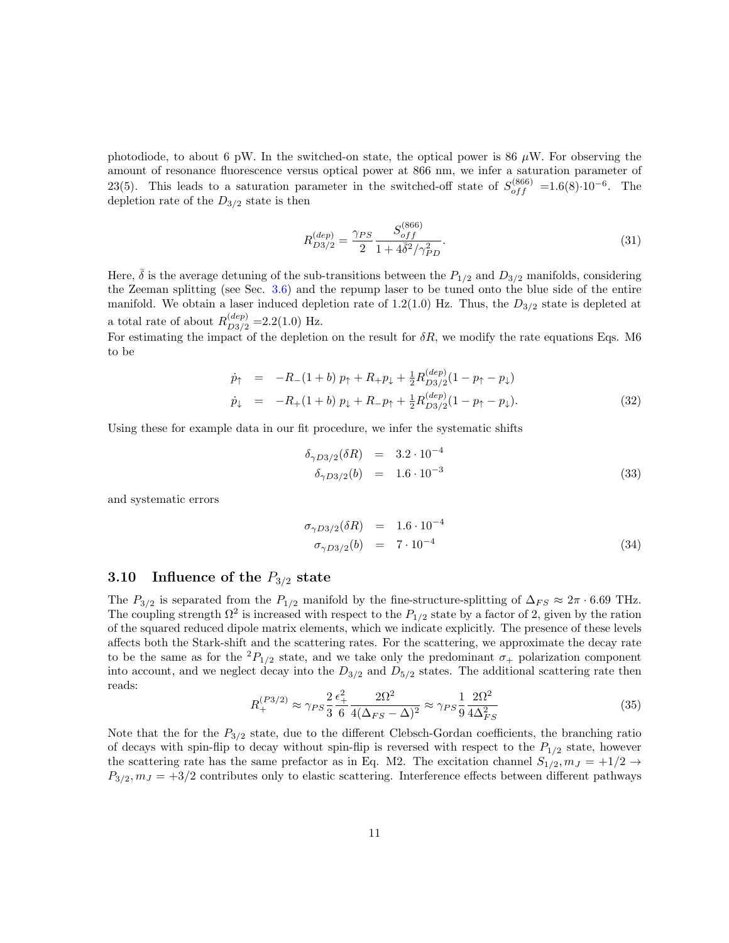photodiode, to about 6 pW. In the switched-on state, the optical power is 86  $\mu$ W. For observing the amount of resonance fluorescence versus optical power at 866 nm, we infer a saturation parameter of 23(5). This leads to a saturation parameter in the switched-off state of  $S_{off}^{(866)} = 1.6(8) \cdot 10^{-6}$ . The depletion rate of the  $D_{3/2}$  state is then

$$
R_{D3/2}^{(dep)} = \frac{\gamma_{PS}}{2} \frac{S_{off}^{(866)}}{1 + 4\bar{\delta}^2 / \gamma_{PD}^2}.
$$
\n(31)

Here,  $\delta$  is the average detuning of the sub-transitions between the  $P_{1/2}$  and  $D_{3/2}$  manifolds, considering the Zeeman splitting (see Sec. 3.6) and the repump laser to be tuned onto the blue side of the entire manifold. We obtain a laser induced depletion rate of 1.2(1.0) Hz. Thus, the  $D_{3/2}$  state is depleted at a total rate of about  $R_{D3/2}^{(dep)} = 2.2(1.0)$  Hz.

For estimating the impact of the depletion on the result for  $\delta R$ , we modify the rate equations Eqs. M6 to be

$$
\dot{p}_{\uparrow} = -R_{-}(1+b) p_{\uparrow} + R_{+} p_{\downarrow} + \frac{1}{2} R_{D3/2}^{(dep)} (1 - p_{\uparrow} - p_{\downarrow}) \n\dot{p}_{\downarrow} = -R_{+}(1+b) p_{\downarrow} + R_{-} p_{\uparrow} + \frac{1}{2} R_{D3/2}^{(dep)} (1 - p_{\uparrow} - p_{\downarrow}).
$$
\n(32)

Using these for example data in our fit procedure, we infer the systematic shifts

$$
\delta_{\gamma D3/2}(\delta R) = 3.2 \cdot 10^{-4} \n\delta_{\gamma D3/2}(b) = 1.6 \cdot 10^{-3}
$$
\n(33)

and systematic errors

$$
\begin{array}{rcl}\n\sigma_{\gamma D3/2}(\delta R) & = & 1.6 \cdot 10^{-4} \\
\sigma_{\gamma D3/2}(b) & = & 7 \cdot 10^{-4}\n\end{array} \tag{34}
$$

## 3.10 Influence of the  $P_{3/2}$  state

The  $P_{3/2}$  is separated from the  $P_{1/2}$  manifold by the fine-structure-splitting of  $\Delta_{FS} \approx 2\pi \cdot 6.69$  THz. The coupling strength  $\Omega^2$  is increased with respect to the  $P_{1/2}$  state by a factor of 2, given by the ration of the squared reduced dipole matrix elements, which we indicate explicitly. The presence of these levels affects both the Stark-shift and the scattering rates. For the scattering, we approximate the decay rate to be the same as for the  ${}^{2}P_{1/2}$  state, and we take only the predominant  $\sigma_{+}$  polarization component into account, and we neglect decay into the  $D_{3/2}$  and  $D_{5/2}$  states. The additional scattering rate then reads:

$$
R_{+}^{(P3/2)} \approx \gamma_{PS} \frac{2}{3} \frac{\epsilon_{+}^{2}}{6} \frac{2\Omega^{2}}{4(\Delta_{FS} - \Delta)^{2}} \approx \gamma_{PS} \frac{1}{9} \frac{2\Omega^{2}}{4\Delta_{FS}^{2}} \tag{35}
$$

Note that the for the  $P_{3/2}$  state, due to the different Clebsch-Gordan coefficients, the branching ratio of decays with spin-flip to decay without spin-flip is reversed with respect to the  $P_{1/2}$  state, however the scattering rate has the same prefactor as in Eq. M2. The excitation channel  $S_{1/2}, m_J = +1/2 \rightarrow$  $P_{3/2}, m_J = +3/2$  contributes only to elastic scattering. Interference effects between different pathways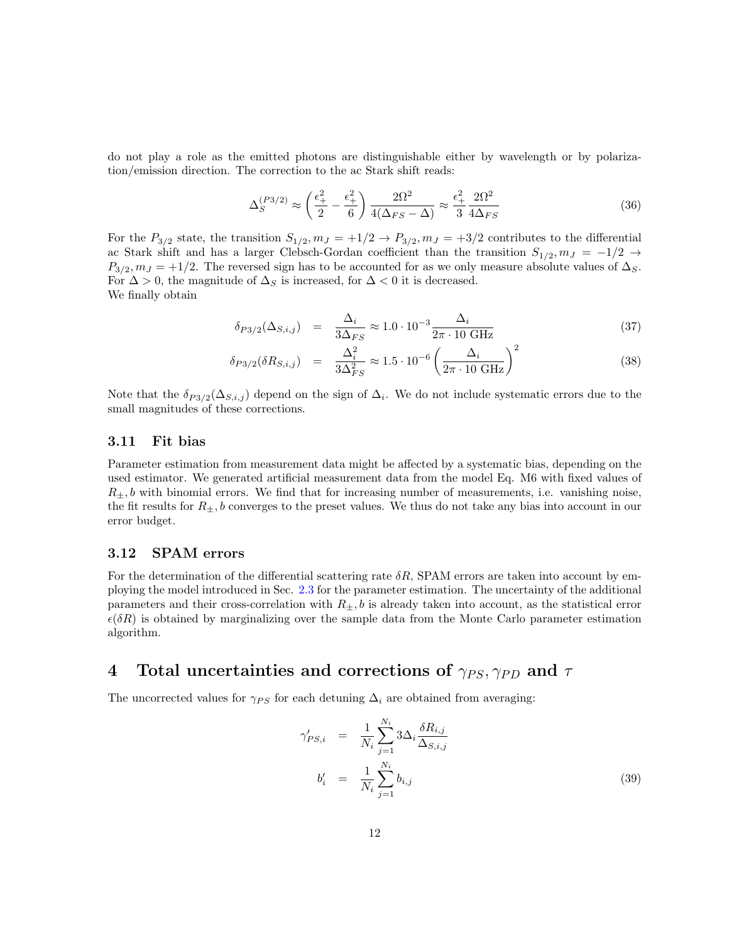do not play a role as the emitted photons are distinguishable either by wavelength or by polarization/emission direction. The correction to the ac Stark shift reads:

$$
\Delta_S^{(P3/2)} \approx \left(\frac{\epsilon_+^2}{2} - \frac{\epsilon_+^2}{6}\right) \frac{2\Omega^2}{4(\Delta_{FS} - \Delta)} \approx \frac{\epsilon_+^2}{3} \frac{2\Omega^2}{4\Delta_{FS}}\tag{36}
$$

For the  $P_{3/2}$  state, the transition  $S_{1/2}, m_J = +1/2 \rightarrow P_{3/2}, m_J = +3/2$  contributes to the differential ac Stark shift and has a larger Clebsch-Gordan coefficient than the transition  $S_{1/2}, m_J = -1/2 \rightarrow$  $P_{3/2}, m_J = +1/2$ . The reversed sign has to be accounted for as we only measure absolute values of  $\Delta_S$ . For  $\Delta > 0$ , the magnitude of  $\Delta_S$  is increased, for  $\Delta < 0$  it is decreased. We finally obtain

$$
\delta_{P3/2}(\Delta_{S,i,j}) = \frac{\Delta_i}{3\Delta_{FS}} \approx 1.0 \cdot 10^{-3} \frac{\Delta_i}{2\pi \cdot 10 \text{ GHz}}
$$
\n(37)

$$
\delta_{P3/2}(\delta R_{S,i,j}) = \frac{\Delta_i^2}{3\Delta_{FS}^2} \approx 1.5 \cdot 10^{-6} \left(\frac{\Delta_i}{2\pi \cdot 10 \text{ GHz}}\right)^2 \tag{38}
$$

Note that the  $\delta_{P3/2}(\Delta_{S,i,j})$  depend on the sign of  $\Delta_i$ . We do not include systematic errors due to the small magnitudes of these corrections.

### 3.11 Fit bias

Parameter estimation from measurement data might be affected by a systematic bias, depending on the used estimator. We generated artificial measurement data from the model Eq. M6 with fixed values of  $R_{\pm}, b$  with binomial errors. We find that for increasing number of measurements, i.e. vanishing noise, the fit results for  $R_{\pm}$ , b converges to the preset values. We thus do not take any bias into account in our error budget.

# 3.12 SPAM errors

For the determination of the differential scattering rate  $\delta R$ , SPAM errors are taken into account by employing the model introduced in Sec. 2.3 for the parameter estimation. The uncertainty of the additional parameters and their cross-correlation with  $R_{\pm}$ , b is already taken into account, as the statistical error  $\epsilon(\delta R)$  is obtained by marginalizing over the sample data from the Monte Carlo parameter estimation algorithm.

# 4 Total uncertainties and corrections of  $\gamma_{PS}, \gamma_{PD}$  and  $\tau$

The uncorrected values for  $\gamma_{PS}$  for each detuning  $\Delta_i$  are obtained from averaging:

$$
\gamma'_{PS,i} = \frac{1}{N_i} \sum_{j=1}^{N_i} 3\Delta_i \frac{\delta R_{i,j}}{\Delta_{S,i,j}} \n b'_i = \frac{1}{N_i} \sum_{j=1}^{N_i} b_{i,j}
$$
\n(39)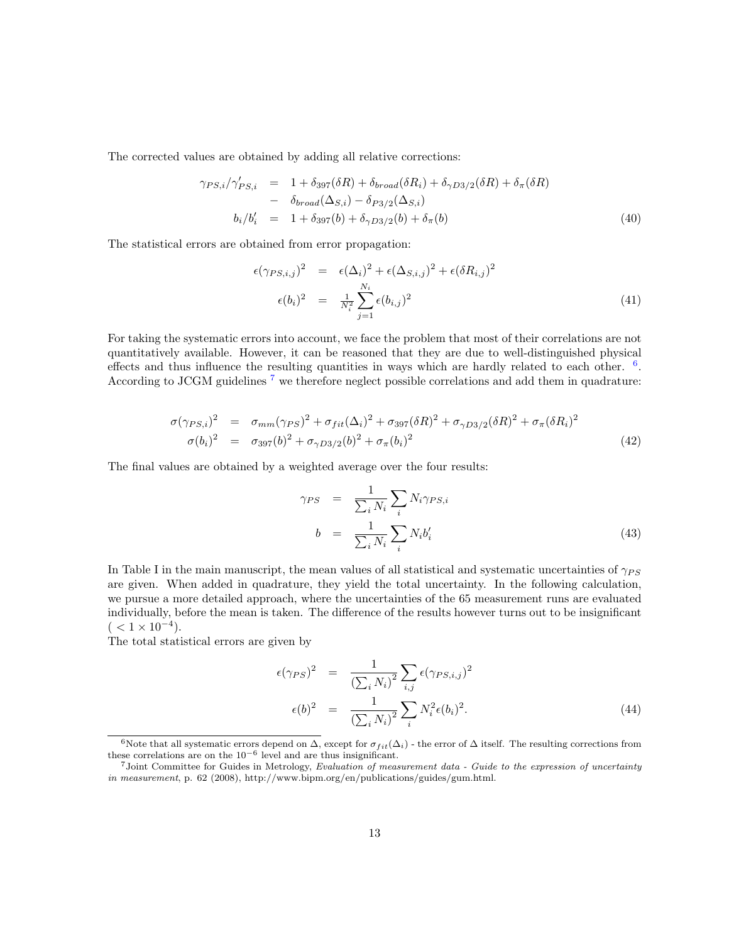The corrected values are obtained by adding all relative corrections:

$$
\gamma_{PS,i}/\gamma'_{PS,i} = 1 + \delta_{397}(\delta R) + \delta_{broad}(\delta R_i) + \delta_{\gamma D3/2}(\delta R) + \delta_{\pi}(\delta R)
$$
  
- 
$$
\delta_{broad}(\Delta_{S,i}) - \delta_{P3/2}(\Delta_{S,i})
$$
  

$$
b_i/b_i' = 1 + \delta_{397}(b) + \delta_{\gamma D3/2}(b) + \delta_{\pi}(b)
$$
 (40)

The statistical errors are obtained from error propagation:

$$
\epsilon(\gamma_{PS,i,j})^2 = \epsilon(\Delta_i)^2 + \epsilon(\Delta_{S,i,j})^2 + \epsilon(\delta R_{i,j})^2
$$
  

$$
\epsilon(b_i)^2 = \frac{1}{N_i^2} \sum_{j=1}^{N_i} \epsilon(b_{i,j})^2
$$
 (41)

For taking the systematic errors into account, we face the problem that most of their correlations are not quantitatively available. However, it can be reasoned that they are due to well-distinguished physical effects and thus influence the resulting quantities in ways which are hardly related to each other.  $6$ . According to JCGM guidelines <sup>7</sup> we therefore neglect possible correlations and add them in quadrature:

$$
\sigma(\gamma_{PS,i})^2 = \sigma_{mm}(\gamma_{PS})^2 + \sigma_{fit}(\Delta_i)^2 + \sigma_{397}(\delta R)^2 + \sigma_{\gamma D3/2}(\delta R)^2 + \sigma_{\pi}(\delta R_i)^2
$$
  
\n
$$
\sigma(b_i)^2 = \sigma_{397}(b)^2 + \sigma_{\gamma D3/2}(b)^2 + \sigma_{\pi}(b_i)^2
$$
\n(42)

The final values are obtained by a weighted average over the four results:

$$
\gamma_{PS} = \frac{1}{\sum_{i} N_i} \sum_{i} N_i \gamma_{PS,i}
$$
  
\n
$$
b = \frac{1}{\sum_{i} N_i} \sum_{i} N_i b'_i
$$
\n(43)

In Table I in the main manuscript, the mean values of all statistical and systematic uncertainties of  $\gamma_{PS}$ are given. When added in quadrature, they yield the total uncertainty. In the following calculation, we pursue a more detailed approach, where the uncertainties of the 65 measurement runs are evaluated individually, before the mean is taken. The difference of the results however turns out to be insignificant  $($  < 1 × 10<sup>-4</sup>).

The total statistical errors are given by

$$
\epsilon(\gamma_{PS})^2 = \frac{1}{\left(\sum_i N_i\right)^2} \sum_{i,j} \epsilon(\gamma_{PS,i,j})^2
$$

$$
\epsilon(b)^2 = \frac{1}{\left(\sum_i N_i\right)^2} \sum_i N_i^2 \epsilon(b_i)^2.
$$
 (44)

<sup>6</sup>Note that all systematic errors depend on  $\Delta$ , except for  $\sigma_{fit}(\Delta_i)$  - the error of  $\Delta$  itself. The resulting corrections from these correlations are on the  $10^{-6}$  level and are thus insignificant.

 $7$ Joint Committee for Guides in Metrology, Evaluation of measurement data - Guide to the expression of uncertainty  $in\ measurements,$  p. 62 (2008), http://www.bipm.org/en/publications/guides/gum.html.